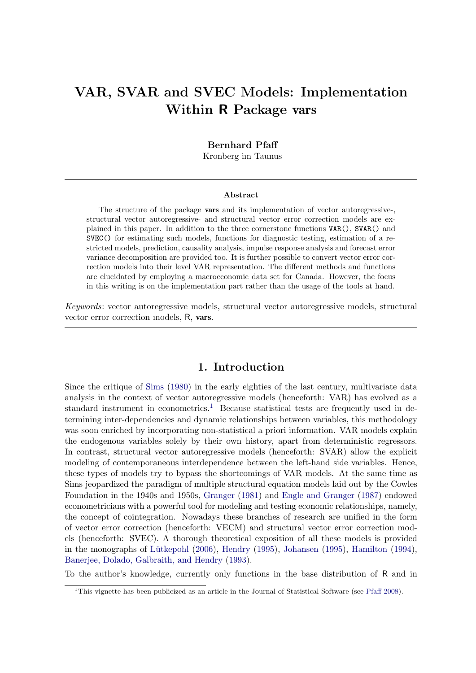# VAR, SVAR and SVEC Models: Implementation Within R Package vars

#### Bernhard Pfaff

Kronberg im Taunus

#### Abstract

The structure of the package vars and its implementation of vector autoregressive-, structural vector autoregressive- and structural vector error correction models are explained in this paper. In addition to the three cornerstone functions VAR(), SVAR() and SVEC() for estimating such models, functions for diagnostic testing, estimation of a restricted models, prediction, causality analysis, impulse response analysis and forecast error variance decomposition are provided too. It is further possible to convert vector error correction models into their level VAR representation. The different methods and functions are elucidated by employing a macroeconomic data set for Canada. However, the focus in this writing is on the implementation part rather than the usage of the tools at hand.

Keywords: vector autoregressive models, structural vector autoregressive models, structural vector error correction models, R, vars.

## 1. Introduction

Since the critique of [Sims](#page-30-0) [\(1980\)](#page-30-0) in the early eighties of the last century, multivariate data analysis in the context of vector autoregressive models (henceforth: VAR) has evolved as a standard instrument in econometrics.<sup>[1](#page-0-0)</sup> Because statistical tests are frequently used in determining inter-dependencies and dynamic relationships between variables, this methodology was soon enriched by incorporating non-statistical a priori information. VAR models explain the endogenous variables solely by their own history, apart from deterministic regressors. In contrast, structural vector autoregressive models (henceforth: SVAR) allow the explicit modeling of contemporaneous interdependence between the left-hand side variables. Hence, these types of models try to bypass the shortcomings of VAR models. At the same time as Sims jeopardized the paradigm of multiple structural equation models laid out by the Cowles Foundation in the 1940s and 1950s, [Granger](#page-30-1) [\(1981\)](#page-30-1) and [Engle and Granger](#page-29-0) [\(1987\)](#page-29-0) endowed econometricians with a powerful tool for modeling and testing economic relationships, namely, the concept of cointegration. Nowadays these branches of research are unified in the form of vector error correction (henceforth: VECM) and structural vector error correction models (henceforth: SVEC). A thorough theoretical exposition of all these models is provided in the monographs of Lütkepohl  $(2006)$ , [Hendry](#page-30-3)  $(1995)$ , [Johansen](#page-30-4)  $(1995)$ , [Hamilton](#page-30-5)  $(1994)$ , [Banerjee, Dolado, Galbraith, and Hendry](#page-29-1) [\(1993\)](#page-29-1).

To the author's knowledge, currently only functions in the base distribution of R and in

<span id="page-0-0"></span><sup>&</sup>lt;sup>1</sup>This vignette has been publicized as an article in the Journal of Statistical Software (see [Pfaff](#page-30-6) [2008\)](#page-30-6).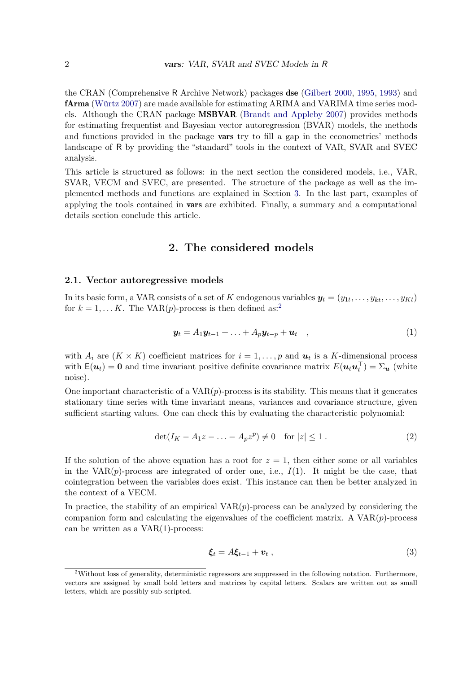the CRAN (Comprehensive R Archive Network) packages dse [\(Gilbert](#page-30-7) [2000,](#page-30-7) [1995,](#page-30-8) [1993\)](#page-30-9) and **fArma** (Würtz [2007\)](#page-30-10) are made available for estimating ARIMA and VARIMA time series models. Although the CRAN package  $MBVAR$  [\(Brandt and Appleby](#page-29-2) [2007\)](#page-29-2) provides methods for estimating frequentist and Bayesian vector autoregression (BVAR) models, the methods and functions provided in the package **vars** try to fill a gap in the econometrics' methods landscape of R by providing the "standard" tools in the context of VAR, SVAR and SVEC analysis.

This article is structured as follows: in the next section the considered models, i.e., VAR, SVAR, VECM and SVEC, are presented. The structure of the package as well as the implemented methods and functions are explained in Section [3.](#page-5-0) In the last part, examples of applying the tools contained in vars are exhibited. Finally, a summary and a computational details section conclude this article.

## 2. The considered models

#### <span id="page-1-1"></span>2.1. Vector autoregressive models

In its basic form, a VAR consists of a set of K endogenous variables  $\bm{y}_t = (y_{1t}, \ldots, y_{kt}, \ldots, y_{Kt})$ for  $k = 1, \ldots K$ . The VAR(p)-process is then defined as:<sup>[2](#page-1-0)</sup>

<span id="page-1-2"></span>
$$
\mathbf{y}_t = A_1 \mathbf{y}_{t-1} + \ldots + A_p \mathbf{y}_{t-p} + \mathbf{u}_t \quad , \tag{1}
$$

with  $A_i$  are  $(K \times K)$  coefficient matrices for  $i = 1, \ldots, p$  and  $u_t$  is a K-dimensional process with  $\mathsf{E}(u_t) = 0$  and time invariant positive definite covariance matrix  $E(u_t u_t^\top) = \Sigma_u$  (white noise).

One important characteristic of a  $VAR(p)$ -process is its stability. This means that it generates stationary time series with time invariant means, variances and covariance structure, given sufficient starting values. One can check this by evaluating the characteristic polynomial:

$$
\det(I_K - A_1 z - \dots - A_p z^p) \neq 0 \quad \text{for } |z| \leq 1.
$$
 (2)

If the solution of the above equation has a root for  $z = 1$ , then either some or all variables in the VAR $(p)$ -process are integrated of order one, i.e.,  $I(1)$ . It might be the case, that cointegration between the variables does exist. This instance can then be better analyzed in the context of a VECM.

In practice, the stability of an empirical  $VAR(p)$ -process can be analyzed by considering the companion form and calculating the eigenvalues of the coefficient matrix. A  $VAR(p)$ -process can be written as a  $VAR(1)$ -process:

$$
\boldsymbol{\xi}_t = A \boldsymbol{\xi}_{t-1} + \boldsymbol{v}_t \;, \tag{3}
$$

<span id="page-1-0"></span><sup>&</sup>lt;sup>2</sup>Without loss of generality, deterministic regressors are suppressed in the following notation. Furthermore, vectors are assigned by small bold letters and matrices by capital letters. Scalars are written out as small letters, which are possibly sub-scripted.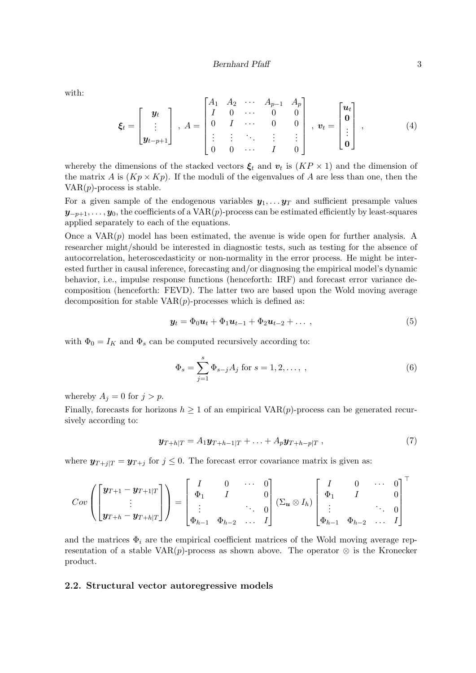with:

$$
\boldsymbol{\xi}_{t} = \begin{bmatrix} \boldsymbol{y}_{t} \\ \vdots \\ \boldsymbol{y}_{t-p+1} \end{bmatrix}, \ A = \begin{bmatrix} A_{1} & A_{2} & \cdots & A_{p-1} & A_{p} \\ I & 0 & \cdots & 0 & 0 \\ 0 & I & \cdots & 0 & 0 \\ \vdots & \vdots & \ddots & \vdots & \vdots \\ 0 & 0 & \cdots & I & 0 \end{bmatrix}, \ \boldsymbol{v}_{t} = \begin{bmatrix} \boldsymbol{u}_{t} \\ \boldsymbol{0} \\ \vdots \\ \boldsymbol{0} \end{bmatrix}, \qquad (4)
$$

whereby the dimensions of the stacked vectors  $\xi_t$  and  $v_t$  is  $(KP \times 1)$  and the dimension of the matrix A is  $(Kp \times Kp)$ . If the moduli of the eigenvalues of A are less than one, then the  $VAR(p)$ -process is stable.

For a given sample of the endogenous variables  $y_1, \ldots y_T$  and sufficient presample values  $y_{-p+1}, \ldots, y_0$ , the coefficients of a VAR $(p)$ -process can be estimated efficiently by least-squares applied separately to each of the equations.

Once a  $VAR(p)$  model has been estimated, the avenue is wide open for further analysis. A researcher might/should be interested in diagnostic tests, such as testing for the absence of autocorrelation, heteroscedasticity or non-normality in the error process. He might be interested further in causal inference, forecasting and/or diagnosing the empirical model's dynamic behavior, i.e., impulse response functions (henceforth: IRF) and forecast error variance decomposition (henceforth: FEVD). The latter two are based upon the Wold moving average decomposition for stable  $VAR(p)$ -processes which is defined as:

<span id="page-2-1"></span>
$$
\mathbf{y}_t = \Phi_0 \mathbf{u}_t + \Phi_1 \mathbf{u}_{t-1} + \Phi_2 \mathbf{u}_{t-2} + \dots \,, \tag{5}
$$

with  $\Phi_0 = I_K$  and  $\Phi_s$  can be computed recursively according to:

<span id="page-2-2"></span>
$$
\Phi_s = \sum_{j=1}^s \Phi_{s-j} A_j \text{ for } s = 1, 2, \dots, ,
$$
 (6)

whereby  $A_j = 0$  for  $j > p$ .

Finally, forecasts for horizons  $h \geq 1$  of an empirical VAR $(p)$ -process can be generated recursively according to:

$$
\mathbf{y}_{T+h|T} = A_1 \mathbf{y}_{T+h-1|T} + \ldots + A_p \mathbf{y}_{T+h-p|T} , \qquad (7)
$$

where  $y_{T+i|T} = y_{T+i}$  for  $j \leq 0$ . The forecast error covariance matrix is given as:

$$
Cov\left(\begin{bmatrix} \pmb{y}_{T+1} - \pmb{y}_{T+1|T} \\ \vdots \\ \pmb{y}_{T+h} - \pmb{y}_{T+h|T} \end{bmatrix}\right) = \begin{bmatrix} I & 0 & \cdots & 0 \\ \Phi_1 & I & & 0 \\ \vdots & & \ddots & 0 \\ \Phi_{h-1} & \Phi_{h-2} & \cdots & I \end{bmatrix} (\Sigma_{\pmb{u}} \otimes I_h) \begin{bmatrix} I & 0 & \cdots & 0 \\ \Phi_1 & I & & 0 \\ \vdots & & \ddots & 0 \\ \Phi_{h-1} & \Phi_{h-2} & \cdots & I \end{bmatrix}^\top
$$

and the matrices  $\Phi_i$  are the empirical coefficient matrices of the Wold moving average representation of a stable VAR $(p)$ -process as shown above. The operator  $\otimes$  is the Kronecker product.

#### <span id="page-2-0"></span>2.2. Structural vector autoregressive models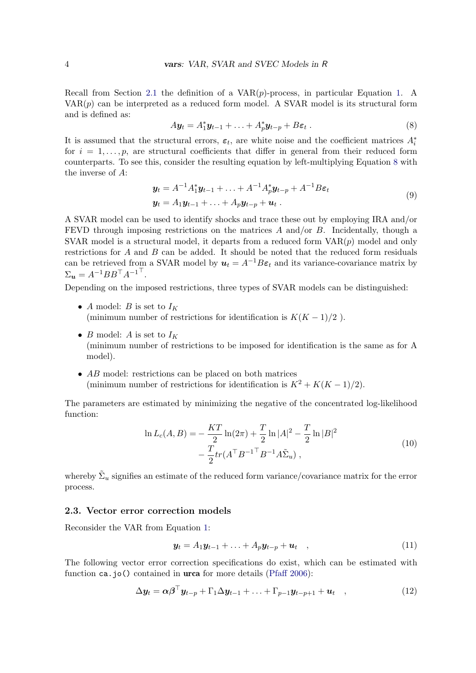Recall from Section [2.1](#page-1-1) the definition of a  $VAR(p)$ -process, in particular Equation [1.](#page-1-2) A  $VAR(p)$  can be interpreted as a reduced form model. A SVAR model is its structural form and is defined as:

<span id="page-3-0"></span>
$$
A\mathbf{y}_t = A_1^* \mathbf{y}_{t-1} + \ldots + A_p^* \mathbf{y}_{t-p} + B\varepsilon_t \,. \tag{8}
$$

It is assumed that the structural errors,  $\varepsilon_t$ , are white noise and the coefficient matrices  $A_i^*$ for  $i = 1, \ldots, p$ , are structural coefficients that differ in general from their reduced form counterparts. To see this, consider the resulting equation by left-multiplying Equation [8](#page-3-0) with the inverse of A:

$$
\mathbf{y}_t = A^{-1} A_1^* \mathbf{y}_{t-1} + \ldots + A^{-1} A_p^* \mathbf{y}_{t-p} + A^{-1} B \boldsymbol{\varepsilon}_t \n\mathbf{y}_t = A_1 \mathbf{y}_{t-1} + \ldots + A_p \mathbf{y}_{t-p} + \mathbf{u}_t.
$$
\n(9)

A SVAR model can be used to identify shocks and trace these out by employing IRA and/or FEVD through imposing restrictions on the matrices A and/or  $B$ . Incidentally, though a SVAR model is a structural model, it departs from a reduced form  $VAR(p)$  model and only restrictions for  $A$  and  $B$  can be added. It should be noted that the reduced form residuals can be retrieved from a SVAR model by  $u_t = A^{-1}B\varepsilon_t$  and its variance-covariance matrix by  $\Sigma_{\boldsymbol{u}} = A^{-1}BB^{\top}A^{-1^{\top}}.$ 

Depending on the imposed restrictions, three types of SVAR models can be distinguished:

- A model: B is set to  $I_K$ (minimum number of restrictions for identification is  $K(K-1)/2$ ).
- B model: A is set to  $I_K$ (minimum number of restrictions to be imposed for identification is the same as for A model).
- AB model: restrictions can be placed on both matrices (minimum number of restrictions for identification is  $K^2 + K(K-1)/2$ ).

The parameters are estimated by minimizing the negative of the concentrated log-likelihood function:

$$
\ln L_c(A, B) = -\frac{KT}{2} \ln(2\pi) + \frac{T}{2} \ln|A|^2 - \frac{T}{2} \ln|B|^2
$$
  
 
$$
-\frac{T}{2} tr(A^{\top} B^{-1 \top} B^{-1} A \tilde{\Sigma}_u) ,
$$
 (10)

whereby  $\tilde{\Sigma}_u$  signifies an estimate of the reduced form variance/covariance matrix for the error process.

#### 2.3. Vector error correction models

Reconsider the VAR from Equation [1:](#page-1-2)

<span id="page-3-1"></span>
$$
\mathbf{y}_t = A_1 \mathbf{y}_{t-1} + \ldots + A_p \mathbf{y}_{t-p} + \mathbf{u}_t \quad , \tag{11}
$$

The following vector error correction specifications do exist, which can be estimated with function ca.jo() contained in **urca** for more details [\(Pfaff](#page-30-11) [2006\)](#page-30-11):

$$
\Delta y_t = \alpha \beta^\top y_{t-p} + \Gamma_1 \Delta y_{t-1} + \ldots + \Gamma_{p-1} y_{t-p+1} + u_t \quad , \tag{12}
$$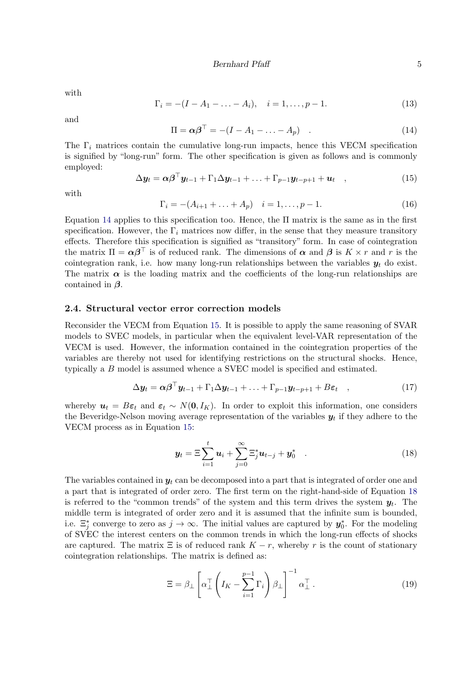with

$$
\Gamma_i = -(I - A_1 - \dots - A_i), \quad i = 1, \dots, p - 1.
$$
\n(13)

<span id="page-4-0"></span>and

$$
\Pi = \alpha \beta^{\top} = -(I - A_1 - \dots - A_p) \quad . \tag{14}
$$

The  $\Gamma_i$  matrices contain the cumulative long-run impacts, hence this VECM specification is signified by "long-run" form. The other specification is given as follows and is commonly employed:

<span id="page-4-1"></span>
$$
\Delta \mathbf{y}_t = \alpha \boldsymbol{\beta}^\top \mathbf{y}_{t-1} + \Gamma_1 \Delta \mathbf{y}_{t-1} + \ldots + \Gamma_{p-1} \mathbf{y}_{t-p+1} + \mathbf{u}_t \quad , \tag{15}
$$

<span id="page-4-3"></span>with

$$
\Gamma_i = -(A_{i+1} + \ldots + A_p) \quad i = 1, \ldots, p-1. \tag{16}
$$

Equation [14](#page-4-0) applies to this specification too. Hence, the  $\Pi$  matrix is the same as in the first specification. However, the  $\Gamma_i$  matrices now differ, in the sense that they measure transitory effects. Therefore this specification is signified as "transitory" form. In case of cointegration the matrix  $\Pi = \alpha \beta^{\top}$  is of reduced rank. The dimensions of  $\alpha$  and  $\beta$  is  $K \times r$  and r is the cointegration rank, i.e. how many long-run relationships between the variables  $y_t$  do exist. The matrix  $\alpha$  is the loading matrix and the coefficients of the long-run relationships are contained in  $\beta$ .

#### 2.4. Structural vector error correction models

Reconsider the VECM from Equation [15.](#page-4-1) It is possible to apply the same reasoning of SVAR models to SVEC models, in particular when the equivalent level-VAR representation of the VECM is used. However, the information contained in the cointegration properties of the variables are thereby not used for identifying restrictions on the structural shocks. Hence, typically a B model is assumed whence a SVEC model is specified and estimated.

$$
\Delta y_t = \alpha \beta^\top y_{t-1} + \Gamma_1 \Delta y_{t-1} + \ldots + \Gamma_{p-1} y_{t-p+1} + B \varepsilon_t , \qquad (17)
$$

whereby  $u_t = B\varepsilon_t$  and  $\varepsilon_t \sim N(0, I_K)$ . In order to exploit this information, one considers the Beveridge-Nelson moving average representation of the variables  $y_t$  if they adhere to the VECM process as in Equation [15:](#page-4-1)

<span id="page-4-2"></span>
$$
\mathbf{y}_t = \Xi \sum_{i=1}^t \mathbf{u}_i + \sum_{j=0}^\infty \Xi_j^* \mathbf{u}_{t-j} + \mathbf{y}_0^* \quad . \tag{18}
$$

The variables contained in  $y_t$  can be decomposed into a part that is integrated of order one and a part that is integrated of order zero. The first term on the right-hand-side of Equation [18](#page-4-2) is referred to the "common trends" of the system and this term drives the system  $y_t$ . The middle term is integrated of order zero and it is assumed that the infinite sum is bounded, i.e.  $\Xi_j^*$  converge to zero as  $j \to \infty$ . The initial values are captured by  $y_0^*$ . For the modeling of SVEC the interest centers on the common trends in which the long-run effects of shocks are captured. The matrix  $\Xi$  is of reduced rank  $K - r$ , whereby r is the count of stationary cointegration relationships. The matrix is defined as:

$$
\Xi = \beta_{\perp} \left[ \alpha_{\perp}^{\top} \left( I_K - \sum_{i=1}^{p-1} \Gamma_i \right) \beta_{\perp} \right]^{-1} \alpha_{\perp}^{\top} . \tag{19}
$$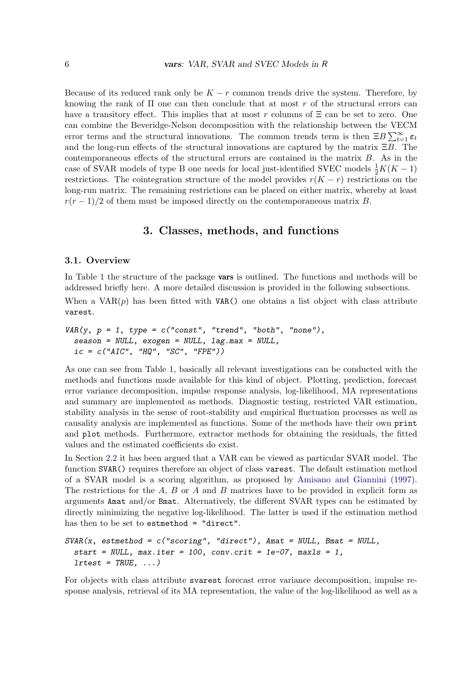Because of its reduced rank only be  $K - r$  common trends drive the system. Therefore, by knowing the rank of  $\Pi$  one can then conclude that at most r of the structural errors can have a transitory effect. This implies that at most r columns of  $\Xi$  can be set to zero. One can combine the Beveridge-Nelson decomposition with the relationship between the VECM error terms and the structural innovations. The common trends term is then  $\Xi B \sum_{t=1}^{\infty} \varepsilon_t$ and the long-run effects of the structural innovations are captured by the matrix  $\Xi B$ . The contemporaneous effects of the structural errors are contained in the matrix B. As in the case of SVAR models of type B one needs for local just-identified SVEC models  $\frac{1}{2}K(K-1)$ restrictions. The cointegration structure of the model provides  $r(K - r)$  restrictions on the long-run matrix. The remaining restrictions can be placed on either matrix, whereby at least  $r(r-1)/2$  of them must be imposed directly on the contemporaneous matrix B.

## 3. Classes, methods, and functions

### <span id="page-5-0"></span>3.1. Overview

In Table [1](#page-6-0) the structure of the package **vars** is outlined. The functions and methods will be addressed briefly here. A more detailed discussion is provided in the following subsections.

When a  $VAR(p)$  has been fitted with VAR() one obtains a list object with class attribute varest.

```
VAR(y, p = 1, type = c("const", "trend", "both", "none"),season = NULL, exogen = NULL, lag.max = NULL,
 ic = c("AIC", "HQ", "SC", "FPE"))
```
As one can see from Table [1,](#page-6-0) basically all relevant investigations can be conducted with the methods and functions made available for this kind of object. Plotting, prediction, forecast error variance decomposition, impulse response analysis, log-likelihood, MA representations and summary are implemented as methods. Diagnostic testing, restricted VAR estimation, stability analysis in the sense of root-stability and empirical fluctuation processes as well as causality analysis are implemented as functions. Some of the methods have their own print and plot methods. Furthermore, extractor methods for obtaining the residuals, the fitted values and the estimated coefficients do exist.

In Section [2.2](#page-2-0) it has been argued that a VAR can be viewed as particular SVAR model. The function SVAR() requires therefore an object of class varest. The default estimation method of a SVAR model is a scoring algorithm, as proposed by [Amisano and Giannini](#page-29-3) [\(1997\)](#page-29-3). The restrictions for the  $A$ ,  $B$  or  $A$  and  $B$  matrices have to be provided in explicit form as arguments Amat and/or Bmat. Alternatively, the different SVAR types can be estimated by directly minimizing the negative log-likelihood. The latter is used if the estimation method has then to be set to estmethod = "direct".

```
SVAR(x, estimated = c("scoring", "direct"), Amat = NULL, Bmat = NULL,
  start = NULL, max.iter = 100, conv.crit = 1e-07, maxls = 1,
  lrtest = TRUE, ...
```
For objects with class attribute svarest forecast error variance decomposition, impulse response analysis, retrieval of its MA representation, the value of the log-likelihood as well as a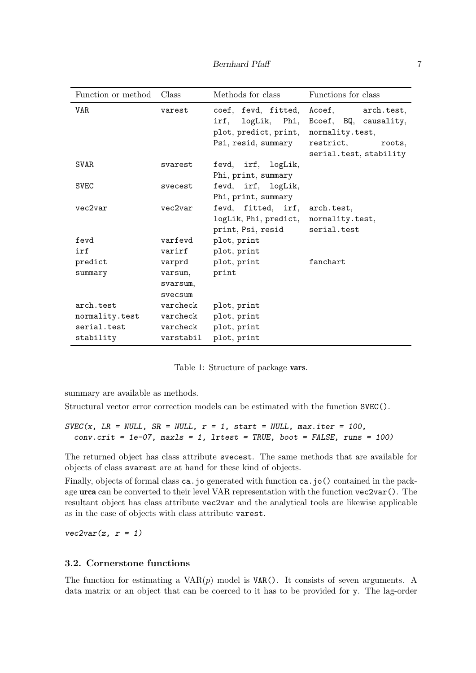| Function or method | Class                          | Methods for class                                                                        | Functions for class                                                                                            |
|--------------------|--------------------------------|------------------------------------------------------------------------------------------|----------------------------------------------------------------------------------------------------------------|
| VAR.               | varest                         | coef, fevd, fitted,<br>irf, logLik, Phi,<br>plot, predict, print,<br>Psi, resid, summary | Acoef, arch.test,<br>Bcoef, BQ, causality,<br>normality.test,<br>restrict.<br>roots,<br>serial.test, stability |
| <b>SVAR</b>        | svarest                        | fevd, irf, logLik,<br>Phi, print, summary                                                |                                                                                                                |
| <b>SVEC</b>        | svecest                        | fevd, irf, logLik,<br>Phi, print, summary                                                |                                                                                                                |
| vec2var            | vec2var                        | fevd, fitted, irf,<br>logLik, Phi, predict,<br>print, Psi, resid                         | arch.test,<br>normality.test,<br>serial.test                                                                   |
| fevd               | varfevd                        | plot, print                                                                              |                                                                                                                |
| irf                | varirf                         | plot, print                                                                              |                                                                                                                |
| predict            | varprd                         | plot, print                                                                              | fanchart                                                                                                       |
| summary            | varsum,<br>svarsum,<br>svecsum | print                                                                                    |                                                                                                                |
| arch.test          | varcheck                       | plot, print                                                                              |                                                                                                                |
| normality.test     | varcheck                       | plot, print                                                                              |                                                                                                                |
| serial.test        | varcheck                       | plot, print                                                                              |                                                                                                                |
| stability          | varstabil                      | plot, print                                                                              |                                                                                                                |

<span id="page-6-0"></span>Table 1: Structure of package vars.

summary are available as methods.

Structural vector error correction models can be estimated with the function SVEC().

```
SVEC(x, LR = NULL, SR = NULL, r = 1, start = NULL, max.iter = 100,conv.crit = 1e-07, maxls = 1, lrtest = TRUE, boot = FALSE, runs = 100)
```
The returned object has class attribute svecest. The same methods that are available for objects of class svarest are at hand for these kind of objects.

Finally, objects of formal class ca.jo generated with function ca.jo() contained in the package urca can be converted to their level VAR representation with the function vec2var(). The resultant object has class attribute vec2var and the analytical tools are likewise applicable as in the case of objects with class attribute varest.

 $vec2var(z, r = 1)$ 

## 3.2. Cornerstone functions

The function for estimating a  $VAR(p)$  model is  $VAR()$ . It consists of seven arguments. A data matrix or an object that can be coerced to it has to be provided for y. The lag-order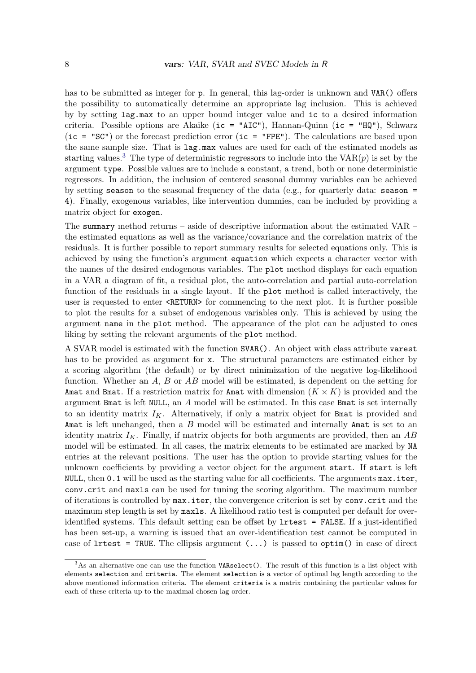has to be submitted as integer for p. In general, this lag-order is unknown and VAR() offers the possibility to automatically determine an appropriate lag inclusion. This is achieved by by setting lag.max to an upper bound integer value and ic to a desired information criteria. Possible options are Akaike (ic = "AIC"), Hannan-Quinn (ic = "HQ"), Schwarz (ic = "SC") or the forecast prediction error (ic = "FPE"). The calculations are based upon the same sample size. That is lag.max values are used for each of the estimated models as starting values.<sup>[3](#page-7-0)</sup> The type of deterministic regressors to include into the  $VAR(p)$  is set by the argument type. Possible values are to include a constant, a trend, both or none deterministic regressors. In addition, the inclusion of centered seasonal dummy variables can be achieved by setting season to the seasonal frequency of the data (e.g., for quarterly data: season  $=$ 4). Finally, exogenous variables, like intervention dummies, can be included by providing a matrix object for exogen.

The summary method returns – aside of descriptive information about the estimated VAR – the estimated equations as well as the variance/covariance and the correlation matrix of the residuals. It is further possible to report summary results for selected equations only. This is achieved by using the function's argument equation which expects a character vector with the names of the desired endogenous variables. The plot method displays for each equation in a VAR a diagram of fit, a residual plot, the auto-correlation and partial auto-correlation function of the residuals in a single layout. If the plot method is called interactively, the user is requested to enter <RETURN> for commencing to the next plot. It is further possible to plot the results for a subset of endogenous variables only. This is achieved by using the argument name in the plot method. The appearance of the plot can be adjusted to ones liking by setting the relevant arguments of the plot method.

A SVAR model is estimated with the function SVAR(). An object with class attribute varest has to be provided as argument for x. The structural parameters are estimated either by a scoring algorithm (the default) or by direct minimization of the negative log-likelihood function. Whether an  $A, B$  or  $AB$  model will be estimated, is dependent on the setting for Amat and Bmat. If a restriction matrix for Amat with dimension  $(K \times K)$  is provided and the argument Bmat is left NULL, an A model will be estimated. In this case Bmat is set internally to an identity matrix  $I_K$ . Alternatively, if only a matrix object for Bmat is provided and Amat is left unchanged, then a B model will be estimated and internally Amat is set to an identity matrix  $I_K$ . Finally, if matrix objects for both arguments are provided, then an AB model will be estimated. In all cases, the matrix elements to be estimated are marked by NA entries at the relevant positions. The user has the option to provide starting values for the unknown coefficients by providing a vector object for the argument start. If start is left NULL, then 0.1 will be used as the starting value for all coefficients. The arguments max.iter, conv.crit and maxls can be used for tuning the scoring algorithm. The maximum number of iterations is controlled by max.iter, the convergence criterion is set by conv.crit and the maximum step length is set by maxls. A likelihood ratio test is computed per default for overidentified systems. This default setting can be offset by lrtest = FALSE. If a just-identified has been set-up, a warning is issued that an over-identification test cannot be computed in case of  $l$ rtest = TRUE. The ellipsis argument  $(\ldots)$  is passed to optim() in case of direct

<span id="page-7-0"></span> $3$ As an alternative one can use the function VARselect(). The result of this function is a list object with elements selection and criteria. The element selection is a vector of optimal lag length according to the above mentioned information criteria. The element criteria is a matrix containing the particular values for each of these criteria up to the maximal chosen lag order.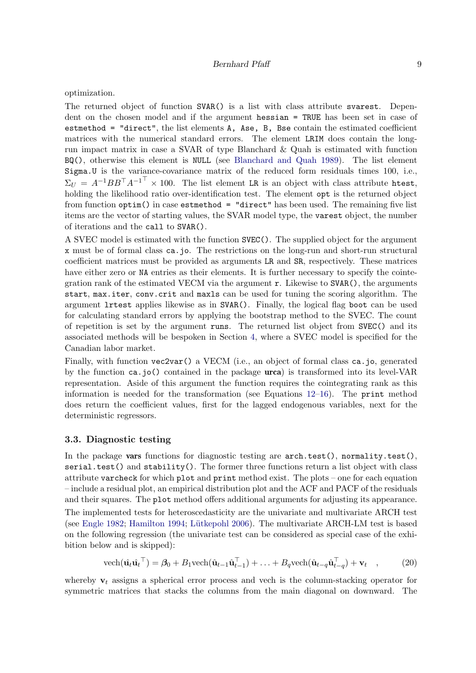optimization.

The returned object of function SVAR() is a list with class attribute svarest. Dependent on the chosen model and if the argument hessian = TRUE has been set in case of estmethod = "direct", the list elements A, Ase, B, Bse contain the estimated coefficient matrices with the numerical standard errors. The element LRIM does contain the longrun impact matrix in case a SVAR of type Blanchard & Quah is estimated with function BQ(), otherwise this element is NULL (see [Blanchard and Quah](#page-29-4) [1989\)](#page-29-4). The list element Sigma.U is the variance-covariance matrix of the reduced form residuals times 100, i.e.,  $\Sigma_U = A^{-1}BB^{\top}A^{-1^{\top}} \times 100$ . The list element LR is an object with class attribute htest, holding the likelihood ratio over-identification test. The element **opt** is the returned object from function optim() in case estmethod = "direct" has been used. The remaining five list items are the vector of starting values, the SVAR model type, the varest object, the number of iterations and the call to SVAR().

A SVEC model is estimated with the function SVEC(). The supplied object for the argument x must be of formal class ca.jo. The restrictions on the long-run and short-run structural coefficient matrices must be provided as arguments LR and SR, respectively. These matrices have either zero or NA entries as their elements. It is further necessary to specify the cointegration rank of the estimated VECM via the argument  $r$ . Likewise to  $SVAR()$ , the arguments start, max.iter, conv.crit and maxls can be used for tuning the scoring algorithm. The argument lrtest applies likewise as in SVAR(). Finally, the logical flag boot can be used for calculating standard errors by applying the bootstrap method to the SVEC. The count of repetition is set by the argument runs. The returned list object from SVEC() and its associated methods will be bespoken in Section [4,](#page-13-0) where a SVEC model is specified for the Canadian labor market.

Finally, with function vec2var() a VECM (i.e., an object of formal class ca.jo, generated by the function ca.jo() contained in the package  $urca$ ) is transformed into its level-VAR representation. Aside of this argument the function requires the cointegrating rank as this information is needed for the transformation (see Equations  $12{\text -}16$ ). The print method does return the coefficient values, first for the lagged endogenous variables, next for the deterministic regressors.

#### 3.3. Diagnostic testing

In the package vars functions for diagnostic testing are  $arch.test(),$  normality.test(), serial.test() and stability(). The former three functions return a list object with class attribute varcheck for which plot and print method exist. The plots – one for each equation – include a residual plot, an empirical distribution plot and the ACF and PACF of the residuals and their squares. The plot method offers additional arguments for adjusting its appearance.

The implemented tests for heteroscedasticity are the univariate and multivariate ARCH test (see [Engle](#page-29-5) [1982;](#page-29-5) [Hamilton](#page-30-5) [1994;](#page-30-5) Lütkepohl [2006\)](#page-30-2). The multivariate ARCH-LM test is based on the following regression (the univariate test can be considered as special case of the exhibition below and is skipped):

$$
\text{vech}(\hat{\mathbf{u}}_t \hat{\mathbf{u}}_t^\top) = \beta_0 + B_1 \text{vech}(\hat{\mathbf{u}}_{t-1} \hat{\mathbf{u}}_{t-1}^\top) + \ldots + B_q \text{vech}(\hat{\mathbf{u}}_{t-q} \hat{\mathbf{u}}_{t-q}^\top) + \mathbf{v}_t \quad , \tag{20}
$$

whereby  $v_t$  assigns a spherical error process and vech is the column-stacking operator for symmetric matrices that stacks the columns from the main diagonal on downward. The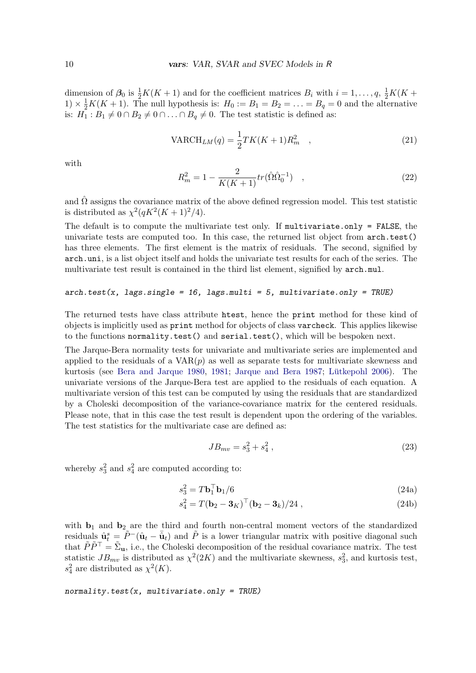dimension of  $\beta_0$  is  $\frac{1}{2}K(K+1)$  and for the coefficient matrices  $B_i$  with  $i=1,\ldots,q$ ,  $\frac{1}{2}K(K+1)$  $1) \times \frac{1}{2}K(K+1)$ . The null hypothesis is:  $H_0 := B_1 = B_2 = \ldots = B_q = 0$  and the alternative is:  $H_1: B_1 \neq 0 \cap B_2 \neq 0 \cap \ldots \cap B_q \neq 0$ . The test statistic is defined as:

$$
VARCH_{LM}(q) = \frac{1}{2}TK(K+1)R_m^2 \quad , \tag{21}
$$

with

$$
R_m^2 = 1 - \frac{2}{K(K+1)} tr(\hat{\Omega} \hat{\Omega}_0^{-1}) \quad , \tag{22}
$$

and  $\hat{\Omega}$  assigns the covariance matrix of the above defined regression model. This test statistic is distributed as  $\chi^2(qK^2(K+1)^2/4)$ .

The default is to compute the multivariate test only. If multivariate.only = FALSE, the univariate tests are computed too. In this case, the returned list object from arch.test() has three elements. The first element is the matrix of residuals. The second, signified by arch.uni, is a list object itself and holds the univariate test results for each of the series. The multivariate test result is contained in the third list element, signified by  $arch.mul$ .

#### $arch.test(x, lags.single = 16, lags.multi = 5, multivariate-only = TRUE)$

The returned tests have class attribute htest, hence the print method for these kind of objects is implicitly used as print method for objects of class varcheck. This applies likewise to the functions normality.test() and serial.test(), which will be bespoken next.

The Jarque-Bera normality tests for univariate and multivariate series are implemented and applied to the residuals of a  $VAR(p)$  as well as separate tests for multivariate skewness and kurtosis (see [Bera and Jarque](#page-29-6) [1980,](#page-29-6) [1981;](#page-29-7) [Jarque and Bera](#page-30-12) [1987;](#page-30-12) Lütkepohl [2006\)](#page-30-2). The univariate versions of the Jarque-Bera test are applied to the residuals of each equation. A multivariate version of this test can be computed by using the residuals that are standardized by a Choleski decomposition of the variance-covariance matrix for the centered residuals. Please note, that in this case the test result is dependent upon the ordering of the variables. The test statistics for the multivariate case are defined as:

$$
JB_{mv} = s_3^2 + s_4^2 \,,\tag{23}
$$

whereby  $s_3^2$  and  $s_4^2$  are computed according to:

$$
s_3^2 = T\mathbf{b}_1^\top \mathbf{b}_1/6 \tag{24a}
$$

$$
s_4^2 = T(\mathbf{b}_2 - \mathbf{3}_K)^\top (\mathbf{b}_2 - \mathbf{3}_k) / 24 , \qquad (24b)
$$

with  $\mathbf{b}_1$  and  $\mathbf{b}_2$  are the third and fourth non-central moment vectors of the standardized residuals  $\hat{\mathbf{u}}_t^s = \tilde{P}^-(\hat{\mathbf{u}}_t - \bar{\hat{\mathbf{u}}}_t)$  and  $\tilde{P}$  is a lower triangular matrix with positive diagonal such that  $\tilde{P}\tilde{P}^{\top}=\tilde{\Sigma}_{\mathbf{u}},$  i.e., the Choleski decomposition of the residual covariance matrix. The test statistic  $JB_{mv}$  is distributed as  $\chi^2(2K)$  and the multivariate skewness,  $s_3^2$ , and kurtosis test,  $s_4^2$  are distributed as  $\chi^2(K)$ .

 $normality.test(x, multivariate. only = TRUE)$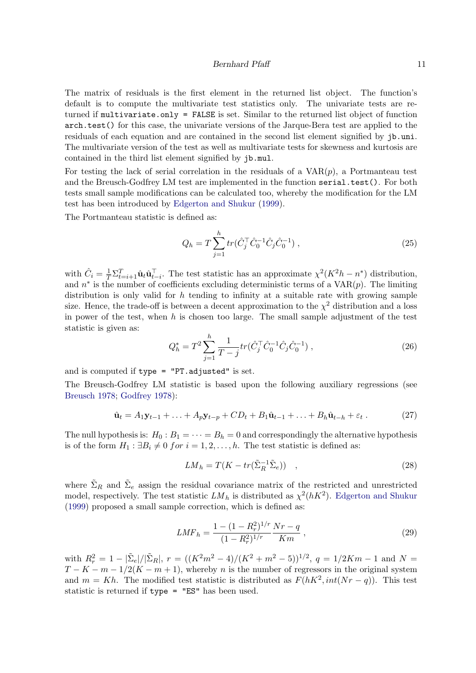#### Bernhard Pfaff 11

The matrix of residuals is the first element in the returned list object. The function's default is to compute the multivariate test statistics only. The univariate tests are returned if multivariate.only = FALSE is set. Similar to the returned list object of function arch.test() for this case, the univariate versions of the Jarque-Bera test are applied to the residuals of each equation and are contained in the second list element signified by jb.uni. The multivariate version of the test as well as multivariate tests for skewness and kurtosis are contained in the third list element signified by jb.mul.

For testing the lack of serial correlation in the residuals of a  $VAR(p)$ , a Portmanteau test and the Breusch-Godfrey LM test are implemented in the function serial.test(). For both tests small sample modifications can be calculated too, whereby the modification for the LM test has been introduced by [Edgerton and Shukur](#page-29-8) [\(1999\)](#page-29-8).

The Portmanteau statistic is defined as:

$$
Q_h = T \sum_{j=1}^h tr(\hat{C}_j^\top \hat{C}_0^{-1} \hat{C}_j \hat{C}_0^{-1}), \qquad (25)
$$

with  $\hat{C}_i = \frac{1}{T} \sum_{t=i+1}^T \hat{\mathbf{u}}_t \hat{\mathbf{u}}_{t-i}^\top$ . The test statistic has an approximate  $\chi^2(K^2h - n^*)$  distribution, and  $n^*$  is the number of coefficients excluding deterministic terms of a  $VAR(p)$ . The limiting distribution is only valid for  $h$  tending to infinity at a suitable rate with growing sample size. Hence, the trade-off is between a decent approximation to the  $\chi^2$  distribution and a loss in power of the test, when  $h$  is chosen too large. The small sample adjustment of the test statistic is given as:

$$
Q_h^* = T^2 \sum_{j=1}^h \frac{1}{T-j} tr(\hat{C}_j^\top \hat{C}_0^{-1} \hat{C}_j \hat{C}_0^{-1}), \qquad (26)
$$

and is computed if type = "PT.adjusted" is set.

The Breusch-Godfrey LM statistic is based upon the following auxiliary regressions (see [Breusch](#page-29-9) [1978;](#page-29-9) [Godfrey](#page-30-13) [1978\)](#page-30-13):

$$
\hat{\mathbf{u}}_t = A_1 \mathbf{y}_{t-1} + \ldots + A_p \mathbf{y}_{t-p} + CD_t + B_1 \hat{\mathbf{u}}_{t-1} + \ldots + B_h \hat{\mathbf{u}}_{t-h} + \varepsilon_t \,. \tag{27}
$$

The null hypothesis is:  $H_0: B_1 = \cdots = B_h = 0$  and correspondingly the alternative hypothesis is of the form  $H_1$  :  $\exists B_i \neq 0$  for  $i = 1, 2, \ldots, h$ . The test statistic is defined as:

$$
LM_h = T(K - tr(\tilde{\Sigma}_R^{-1} \tilde{\Sigma}_e)) \quad , \tag{28}
$$

where  $\tilde{\Sigma}_R$  and  $\tilde{\Sigma}_e$  assign the residual covariance matrix of the restricted and unrestricted model, respectively. The test statistic  $LM_h$  is distributed as  $\chi^2(hK^2)$ . [Edgerton and Shukur](#page-29-8) [\(1999\)](#page-29-8) proposed a small sample correction, which is defined as:

$$
LMF_h = \frac{1 - (1 - R_r^2)^{1/r}}{(1 - R_r^2)^{1/r}} \frac{Nr - q}{Km} ,
$$
\n(29)

with  $R_r^2 = 1 - |\tilde{\Sigma}_e|/|\tilde{\Sigma}_R|$ ,  $r = ((K^2m^2 - 4)/(K^2 + m^2 - 5))^{1/2}$ ,  $q = 1/2Km - 1$  and  $N =$  $T - K - m - 1/2(K - m + 1)$ , whereby n is the number of regressors in the original system and  $m = Kh$ . The modified test statistic is distributed as  $F(hK^2, int(Nr - q))$ . This test statistic is returned if type = "ES" has been used.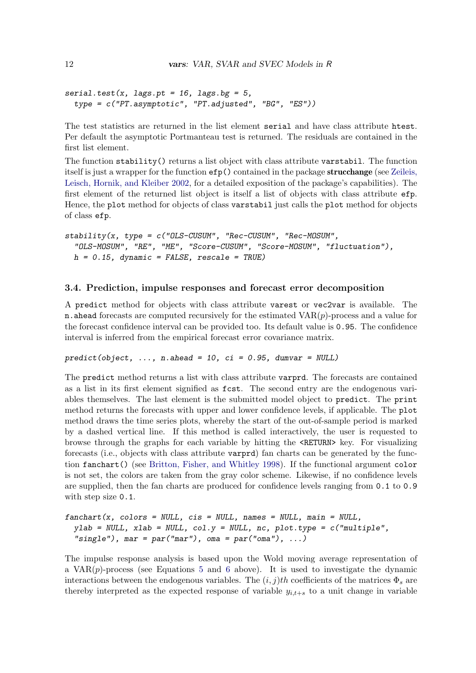```
serial.test(x, lags.pt = 16, lags.bg = 5,
  type = c("PT.asymptotic", "PT.adjusted", "BG", "ES"))
```
The test statistics are returned in the list element serial and have class attribute htest. Per default the asymptotic Portmanteau test is returned. The residuals are contained in the first list element.

The function stability() returns a list object with class attribute varstabil. The function itself is just a wrapper for the function  $efp()$  contained in the package **strucchange** (see [Zeileis,](#page-31-0) [Leisch, Hornik, and Kleiber](#page-31-0) [2002,](#page-31-0) for a detailed exposition of the package's capabilities). The first element of the returned list object is itself a list of objects with class attribute efp. Hence, the plot method for objects of class varstabil just calls the plot method for objects of class efp.

```
stability(x, type = c("OLS-CUSUM", "Rec-CUSUM", "Rec-MOSUM", "SEC-SUSUM", "SEC-SUSUM", "SEC-SUSUM", "SEC-SUSUM", "SEC-SUSUM", "SEC-SUSUM", "SEC-SUSUM", "SEC-SUSUM", "SEC-SUSUM", "SEC-SUSUM", "SEC-SUSUM", "SEC-SUSUM", "SEC-SUSUM", "SEC-SUSUM", "SEC-SUSUM", "SEC-SUSUM", "SEC-SUSUM", "SEC-SUSUM", "SEC-SUSUM", "SEC-SUSUM", "SEC-SUSUM", "SEC-SUSUM", "SEC-SUSUM", "SEC-SUSUM", "SEC-SUSUM", "SEC-SUSUM", "SEC-SUSUM", "SEC-SUSUM"OLS-MOSUM", "RE", "ME", "Score-CUSUM", "Score-MOSUM", "fluctuation"),
     h = 0.15, dynamic = FALSE, rescale = TRUE)
```
#### 3.4. Prediction, impulse responses and forecast error decomposition

A predict method for objects with class attribute varest or vec2var is available. The n. ahead forecasts are computed recursively for the estimated  $VAR(p)$ -process and a value for the forecast confidence interval can be provided too. Its default value is 0.95. The confidence interval is inferred from the empirical forecast error covariance matrix.

 $predict(object, ..., n. ahead = 10, ci = 0.95, dumvar = NULL)$ 

The predict method returns a list with class attribute varprd. The forecasts are contained as a list in its first element signified as fcst. The second entry are the endogenous variables themselves. The last element is the submitted model object to predict. The print method returns the forecasts with upper and lower confidence levels, if applicable. The plot method draws the time series plots, whereby the start of the out-of-sample period is marked by a dashed vertical line. If this method is called interactively, the user is requested to browse through the graphs for each variable by hitting the <RETURN> key. For visualizing forecasts (i.e., objects with class attribute varprd) fan charts can be generated by the function fanchart() (see [Britton, Fisher, and Whitley](#page-29-10) [1998\)](#page-29-10). If the functional argument color is not set, the colors are taken from the gray color scheme. Likewise, if no confidence levels are supplied, then the fan charts are produced for confidence levels ranging from 0.1 to 0.9 with step size 0.1.

```
fanchart(x, colors = NULL, cis = NULL, names = NULL, main = NULL,ylab = NULL, xlab = NULL, col.y = NULL, nc, plot.type = c("multiple",
  "single"), mar = par("mar"), oma = par("oma"), ...)
```
The impulse response analysis is based upon the Wold moving average representation of a  $VAR(p)$ -process (see Equations [5](#page-2-1) and [6](#page-2-2) above). It is used to investigate the dynamic interactions between the endogenous variables. The  $(i, j)$ th coefficients of the matrices  $\Phi_s$  are thereby interpreted as the expected response of variable  $y_{i,t+s}$  to a unit change in variable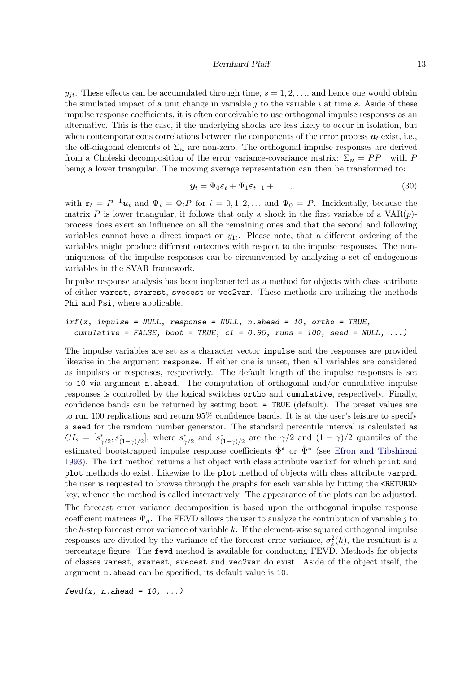#### Bernhard Pfaff 13

 $y_{it}$ . These effects can be accumulated through time,  $s = 1, 2, \ldots$ , and hence one would obtain the simulated impact of a unit change in variable  $j$  to the variable  $i$  at time  $s$ . Aside of these impulse response coefficients, it is often conceivable to use orthogonal impulse responses as an alternative. This is the case, if the underlying shocks are less likely to occur in isolation, but when contemporaneous correlations between the components of the error process  $u_t$  exist, i.e., the off-diagonal elements of  $\Sigma_u$  are non-zero. The orthogonal impulse responses are derived from a Choleski decomposition of the error variance-covariance matrix:  $\Sigma_{u} = PP^{\top}$  with P being a lower triangular. The moving average representation can then be transformed to:

$$
\mathbf{y}_t = \Psi_0 \boldsymbol{\varepsilon}_t + \Psi_1 \boldsymbol{\varepsilon}_{t-1} + \dots \,, \tag{30}
$$

with  $\varepsilon_t = P^{-1}u_t$  and  $\Psi_i = \Phi_i P$  for  $i = 0, 1, 2, \dots$  and  $\Psi_0 = P$ . Incidentally, because the matrix P is lower triangular, it follows that only a shock in the first variable of a  $VAR(p)$ process does exert an influence on all the remaining ones and that the second and following variables cannot have a direct impact on  $y_{1t}$ . Please note, that a different ordering of the variables might produce different outcomes with respect to the impulse responses. The nonuniqueness of the impulse responses can be circumvented by analyzing a set of endogenous variables in the SVAR framework.

Impulse response analysis has been implemented as a method for objects with class attribute of either varest, svarest, svecest or vec2var. These methods are utilizing the methods Phi and Psi, where applicable.

$$
irf(x, impulse = NULL, response = NULL, n. ahead = 10, ortho = TRUE, cumulative = FALSE, boot = TRUE, ci = 0.95, runs = 100, seed = NULL, ...)
$$

The impulse variables are set as a character vector impulse and the responses are provided likewise in the argument response. If either one is unset, then all variables are considered as impulses or responses, respectively. The default length of the impulse responses is set to 10 via argument  $\bf{n}$ . ahead. The computation of orthogonal and/or cumulative impulse responses is controlled by the logical switches ortho and cumulative, respectively. Finally, confidence bands can be returned by setting boot = TRUE (default). The preset values are to run 100 replications and return 95% confidence bands. It is at the user's leisure to specify a seed for the random number generator. The standard percentile interval is calculated as  $CI_s = [s^*_{\gamma/2}, s^*_{(1-\gamma)/2}]$ , where  $s^*_{\gamma/2}$  and  $s^*_{(1-\gamma)/2}$  are the  $\gamma/2$  and  $(1-\gamma)/2$  quantiles of the estimated bootstrapped impulse response coefficients  $\hat{\Phi}^*$  or  $\hat{\Psi}^*$  (see [Efron and Tibshirani](#page-29-11) [1993\)](#page-29-11). The irf method returns a list object with class attribute varirf for which print and plot methods do exist. Likewise to the plot method of objects with class attribute varprd, the user is requested to browse through the graphs for each variable by hitting the <RETURN> key, whence the method is called interactively. The appearance of the plots can be adjusted.

The forecast error variance decomposition is based upon the orthogonal impulse response coefficient matrices  $\Psi_n$ . The FEVD allows the user to analyze the contribution of variable j to the  $h$ -step forecast error variance of variable  $k$ . If the element-wise squared orthogonal impulse responses are divided by the variance of the forecast error variance,  $\sigma_k^2(h)$ , the resultant is a percentage figure. The fevd method is available for conducting FEVD. Methods for objects of classes varest, svarest, svecest and vec2var do exist. Aside of the object itself, the argument n.ahead can be specified; its default value is 10.

 $fevd(x, n. ahead = 10, ...)$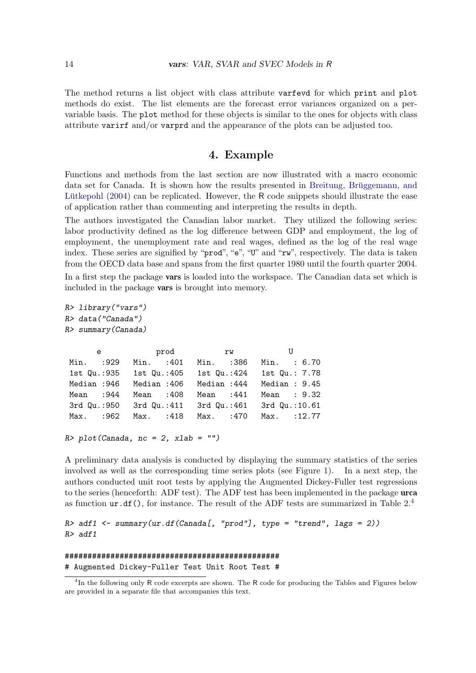The method returns a list object with class attribute varfevd for which print and plot methods do exist. The list elements are the forecast error variances organized on a pervariable basis. The plot method for these objects is similar to the ones for objects with class attribute varirf and/or varprd and the appearance of the plots can be adjusted too.

# 4. Example

<span id="page-13-0"></span>Functions and methods from the last section are now illustrated with a macro economic data set for Canada. It is shown how the results presented in Breitung, Brüggemann, and Lütkepohl  $(2004)$  can be replicated. However, the R code snippets should illustrate the ease of application rather than commenting and interpreting the results in depth.

The authors investigated the Canadian labor market. They utilized the following series: labor productivity defined as the log difference between GDP and employment, the log of employment, the unemployment rate and real wages, defined as the log of the real wage index. These series are signified by "prod", "e", "U" and "rw", respectively. The data is taken from the OECD data base and spans from the first quarter 1980 until the fourth quarter 2004.

In a first step the package vars is loaded into the workspace. The Canadian data set which is included in the package vars is brought into memory.

```
R> library("vars")
R> data("Canada")
```
R> summary(Canada)

|             |            | e prod rw U                           |                |  |
|-------------|------------|---------------------------------------|----------------|--|
| Min. : 929  | Min. : 401 | Min. :386                             | Min. : 6.70    |  |
| 1st Qu.:935 |            | 1st Qu.:405 1st Qu.:424               | 1st Qu.: 7.78  |  |
| Median :946 |            | Median :406 Median :444               | Median: $9.45$ |  |
| Mean $:944$ | Mean :408  | Mean $:441$                           | Mean : 9.32    |  |
| 3rd Qu.:950 |            | 3rd Qu.:411 3rd Qu.:461 3rd Qu.:10.61 |                |  |
| Max. :962   |            | Max. : 418 Max. : 470 Max. : 12.77    |                |  |

```
R> plot(Canada, nc = 2, xlab = "")
```
A preliminary data analysis is conducted by displaying the summary statistics of the series involved as well as the corresponding time series plots (see Figure [1\)](#page-14-0). In a next step, the authors conducted unit root tests by applying the Augmented Dickey-Fuller test regressions to the series (henceforth: ADF test). The ADF test has been implemented in the package urca as function  $ur.df()$ , for instance. The result of the ADF tests are summarized in Table  $2.4$  $2.4$ 

 $R > adf1$  <- summary(ur.df(Canada[, "prod"], type = "trend", lags = 2)) R> adf1

## ############################################### # Augmented Dickey-Fuller Test Unit Root Test #

<span id="page-13-1"></span><sup>&</sup>lt;sup>4</sup>In the following only R code excerpts are shown. The R code for producing the Tables and Figures below are provided in a separate file that accompanies this text.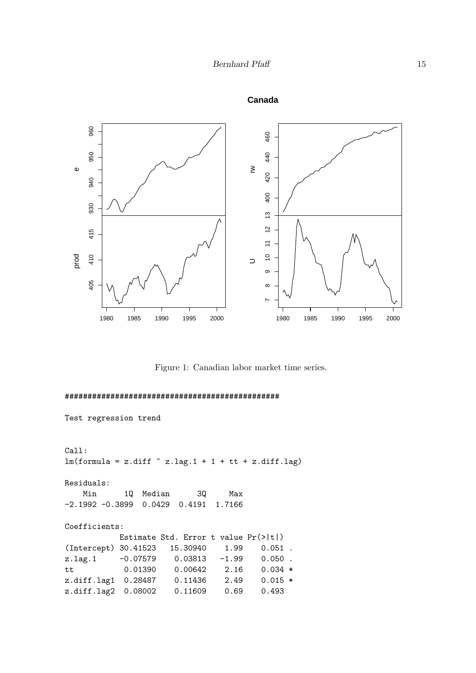

**Canada**

<span id="page-14-0"></span>Figure 1: Canadian labor market time series.

```
Test regression trend
Call:
lm(formula = z.diff ~ z.lag.1 + 1 + tt + z.diff.lag)Residuals:
   Min 1Q Median 3Q Max
-2.1992 -0.3899 0.0429 0.4191 1.7166
Coefficients:
          Estimate Std. Error t value Pr(>|t|)
(Intercept) 30.41523 15.30940 1.99 0.051 .
z.lag.1 -0.07579 0.03813 -1.99 0.050 .
tt 0.01390 0.00642 2.16 0.034 *
z.diff.lag1 0.28487 0.11436 2.49 0.015 *
z.diff.lag2 0.08002 0.11609 0.69 0.493
```
###############################################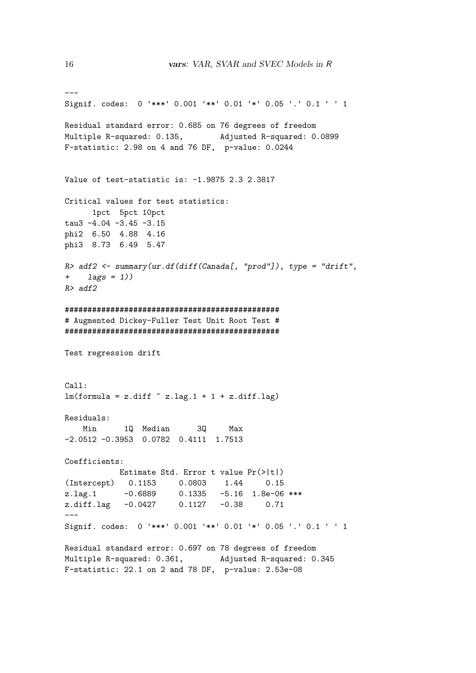```
---
Signif. codes: 0 '***' 0.001 '**' 0.01 '*' 0.05 '.' 0.1 ' ' 1
Residual standard error: 0.685 on 76 degrees of freedom
Multiple R-squared: 0.135, Adjusted R-squared: 0.0899
F-statistic: 2.98 on 4 and 76 DF, p-value: 0.0244
Value of test-statistic is: -1.9875 2.3 2.3817
Critical values for test statistics:
     1pct 5pct 10pct
tau3 -4.04 -3.45 -3.15
phi2 6.50 4.88 4.16
phi3 8.73 6.49 5.47
R> adf2 <- summary(ur.df(diff(Canada[, "prod"]), type = "drift",
+ \text{lags} = 1))
R > adf2###############################################
# Augmented Dickey-Fuller Test Unit Root Test #
###############################################
Test regression drift
Call:
lm(formula = z.diff ~ z.lag.1 + 1 + z.diff.lag)Residuals:
   Min 1Q Median 3Q Max
-2.0512 -0.3953 0.0782 0.4111 1.7513
Coefficients:
           Estimate Std. Error t value Pr(>|t|)
(Intercept) 0.1153 0.0803 1.44 0.15
z.lag.1 -0.6889 0.1335 -5.16 1.8e-06 ***
z.diff.lag -0.0427 0.1127 -0.38 0.71
---
Signif. codes: 0 '***' 0.001 '**' 0.01 '*' 0.05 '.' 0.1 ' ' 1
Residual standard error: 0.697 on 78 degrees of freedom
Multiple R-squared: 0.361, Adjusted R-squared: 0.345
F-statistic: 22.1 on 2 and 78 DF, p-value: 2.53e-08
```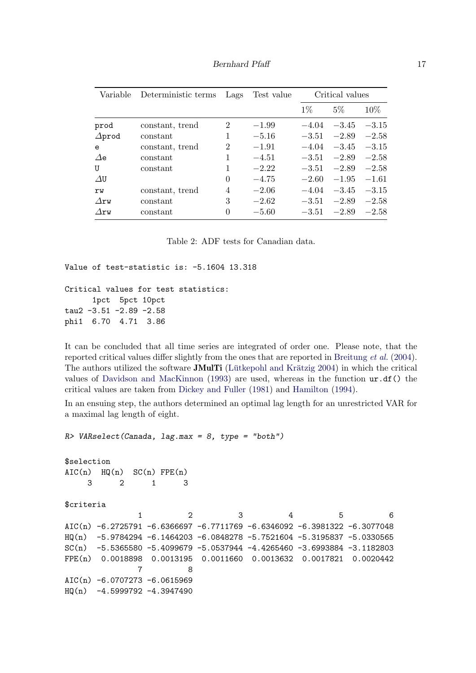Bernhard Pfaff 17

| Variable      | Deterministic terms | Lags           | Test value | Critical values |         |         |
|---------------|---------------------|----------------|------------|-----------------|---------|---------|
|               |                     |                |            | $1\%$           | $5\%$   | $10\%$  |
| prod          | constant, trend     | 2              | $-1.99$    | $-4.04$         | $-3.45$ | $-3.15$ |
| $\Delta$ prod | constant            | 1              | $-5.16$    | $-3.51$         | $-2.89$ | $-2.58$ |
| e             | constant, trend     | $\overline{2}$ | $-1.91$    | $-4.04$         | $-3.45$ | $-3.15$ |
| $\Delta$ e    | constant            | 1              | $-4.51$    | $-3.51$         | $-2.89$ | $-2.58$ |
| U             | constant            | 1              | $-2.22$    | $-3.51$         | $-2.89$ | $-2.58$ |
| $\Delta$ U    |                     | $\Omega$       | $-4.75$    | $-2.60$         | $-1.95$ | $-1.61$ |
| rw            | constant, trend     | 4              | $-2.06$    | $-4.04$         | $-3.45$ | $-3.15$ |
| $\Delta$ rw   | constant            | 3              | $-2.62$    | $-3.51$         | $-2.89$ | $-2.58$ |
| $\Delta$ rw   | constant            | 0              | $-5.60$    | $-3.51$         | $-2.89$ | $-2.58$ |

<span id="page-16-0"></span>Table 2: ADF tests for Canadian data.

```
Value of test-statistic is: -5.1604 13.318
```

```
Critical values for test statistics:
     1pct 5pct 10pct
tau2 -3.51 -2.89 -2.58
phi1 6.70 4.71 3.86
```
It can be concluded that all time series are integrated of order one. Please note, that the reported critical values differ slightly from the ones that are reported in [Breitung](#page-29-12) et al. [\(2004\)](#page-29-12). The authors utilized the software **JMulTi** (Lütkepohl and Krätzig  $2004$ ) in which the critical values of [Davidson and MacKinnon](#page-29-13) [\(1993\)](#page-29-13) are used, whereas in the function  $ur \cdot df()$  the critical values are taken from [Dickey and Fuller](#page-29-14) [\(1981\)](#page-29-14) and [Hamilton](#page-30-5) [\(1994\)](#page-30-5).

In an ensuing step, the authors determined an optimal lag length for an unrestricted VAR for a maximal lag length of eight.

```
R> VARselect(Canada, lag.max = 8, type = "both")
$selection
AIC(n) HQ(n) SC(n) FPE(n)3 2 1 3
$criteria
              1 2 3 4 5 6
AIC(n) -6.2725791 -6.6366697 -6.7711769 -6.6346092 -6.3981322 -6.3077048
HQ(n) -5.9784294 -6.1464203 -6.0848278 -5.7521604 -5.3195837 -5.0330565
SC(n) -5.5365580 -5.4099679 -5.0537944 -4.4265460 -3.6993884 -3.1182803
FPE(n) 0.0018898 0.0013195 0.0011660 0.0013632 0.0017821 0.0020442
              7 8
AIC(n) -6.0707273 -6.0615969
HQ(n) -4.5999792 -4.3947490
```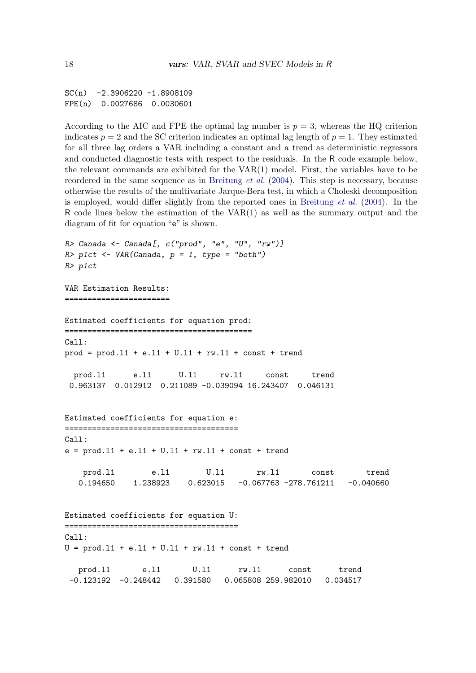$SC(n)$  -2.3906220 -1.8908109 FPE(n) 0.0027686 0.0030601

According to the AIC and FPE the optimal lag number is  $p = 3$ , whereas the HQ criterion indicates  $p = 2$  and the SC criterion indicates an optimal lag length of  $p = 1$ . They estimated for all three lag orders a VAR including a constant and a trend as deterministic regressors and conducted diagnostic tests with respect to the residuals. In the R code example below, the relevant commands are exhibited for the VAR(1) model. First, the variables have to be reordered in the same sequence as in [Breitung](#page-29-12) et al. [\(2004\)](#page-29-12). This step is necessary, because otherwise the results of the multivariate Jarque-Bera test, in which a Choleski decomposition is employed, would differ slightly from the reported ones in [Breitung](#page-29-12) et al. [\(2004\)](#page-29-12). In the R code lines below the estimation of the  $VAR(1)$  as well as the summary output and the diagram of fit for equation "e" is shown.

```
R> Canada <- Canada[, c("prod", "e", "U", "rw")]
R> p1ct <- VAR(Canada, p = 1, type = "both")
R> p1ct
VAR Estimation Results:
=======================
Estimated coefficients for equation prod:
=========================================
Call:
prod = prod.l1 + e.l1 + U.l1 + rw.l1 + const + trend
  prod.l1 e.l1 U.l1 rw.l1 const trend
 0.963137 0.012912 0.211089 -0.039094 16.243407 0.046131
Estimated coefficients for equation e:
======================================
Ca11:e = \text{prod}.11 + e.11 + U.11 + rw.11 + const + trendprod.l1 e.l1 U.l1 rw.l1 const trend
  0.194650 1.238923 0.623015 -0.067763 -278.761211 -0.040660
Estimated coefficients for equation U:
======================================
Call:
U = \text{prod}.11 + e.11 + U.11 + rw.11 + const + trendprod.l1 e.l1 U.l1 rw.l1 const trend
-0.123192 -0.248442 0.391580 0.065808 259.982010 0.034517
```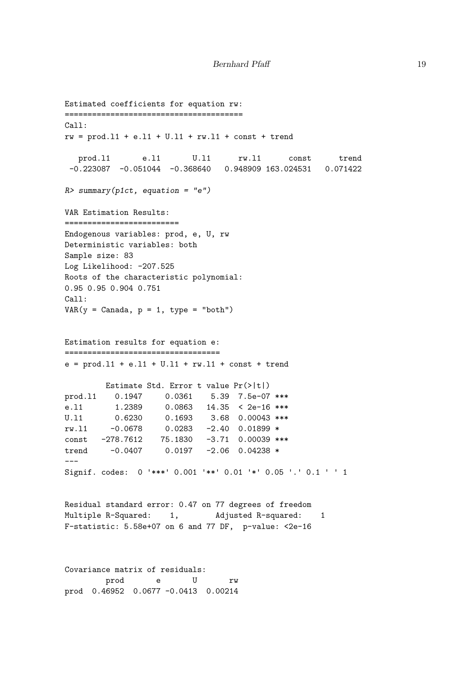```
Estimated coefficients for equation rw:
=======================================
Call:
rw = prod.11 + e.11 + U.11 + rw.11 + const + trendprod.l1 e.l1 U.l1 rw.l1 const trend
-0.223087 -0.051044 -0.368640 0.948909 163.024531 0.071422
R> summary(p1ct, equation = "e")
VAR Estimation Results:
=========================
Endogenous variables: prod, e, U, rw
Deterministic variables: both
Sample size: 83
Log Likelihood: -207.525
Roots of the characteristic polynomial:
0.95 0.95 0.904 0.751
Call:
VAR(y = Canada, p = 1, type = "both")Estimation results for equation e:
==================================
e = \text{prod}.11 + e.11 + U.11 + rw.11 + const + trendEstimate Std. Error t value Pr(>|t|)
prod.l1 0.1947 0.0361 5.39 7.5e-07 ***
e.l1 1.2389 0.0863 14.35 < 2e-16 ***
U.l1 0.6230 0.1693 3.68 0.00043 ***
rw.l1 -0.0678 0.0283 -2.40 0.01899 *
const -278.7612 75.1830 -3.71 0.00039 ***
trend -0.0407 0.0197 -2.06 0.04238 *
---
Signif. codes: 0 '***' 0.001 '**' 0.01 '*' 0.05 '.' 0.1 ' ' 1
Residual standard error: 0.47 on 77 degrees of freedom
Multiple R-Squared: 1, Adjusted R-squared: 1
F-statistic: 5.58e+07 on 6 and 77 DF, p-value: <2e-16
Covariance matrix of residuals:
```
prod e U rw prod 0.46952 0.0677 -0.0413 0.00214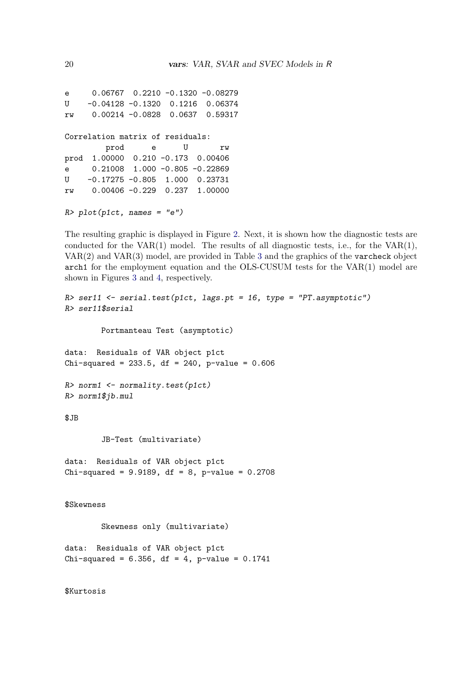e 0.06767 0.2210 -0.1320 -0.08279 U -0.04128 -0.1320 0.1216 0.06374 rw 0.00214 -0.0828 0.0637 0.59317 Correlation matrix of residuals: prod e U rw prod 1.00000 0.210 -0.173 0.00406 e 0.21008 1.000 -0.805 -0.22869 U -0.17275 -0.805 1.000 0.23731 rw 0.00406 -0.229 0.237 1.00000

 $R$ >  $plot(p1ct, names = "e")$ 

The resulting graphic is displayed in Figure [2.](#page-20-0) Next, it is shown how the diagnostic tests are conducted for the VAR $(1)$  model. The results of all diagnostic tests, i.e., for the VAR $(1)$ , VAR(2) and VAR(3) model, are provided in Table [3](#page-20-1) and the graphics of the varcheck object arch1 for the employment equation and the OLS-CUSUM tests for the VAR(1) model are shown in Figures [3](#page-21-0) and [4,](#page-22-0) respectively.

```
R> ser11 <- serial.test(p1ct, lags.pt = 16, type = "PT.asymptotic")
R> ser11$serial
        Portmanteau Test (asymptotic)
data: Residuals of VAR object p1ct
Chi-squared = 233.5, df = 240, p-value = 0.606
R> norm1 <- normality.test(p1ct)
R> norm1$jb.mul
$JB
        JB-Test (multivariate)
data: Residuals of VAR object p1ct
Chi-squared = 9.9189, df = 8, p-value = 0.2708
$Skewness
        Skewness only (multivariate)
data: Residuals of VAR object p1ct
Chi-squared = 6.356, df = 4, p-value = 0.1741
```
\$Kurtosis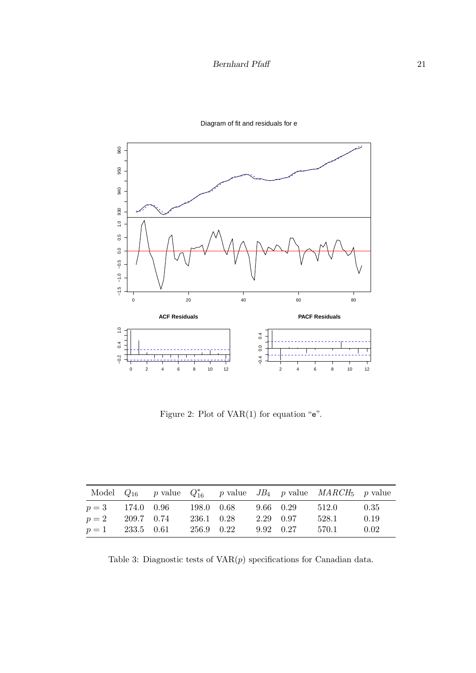

Diagram of fit and residuals for e

<span id="page-20-0"></span>Figure 2: Plot of VAR(1) for equation "e".

|                    |            |            |  |           | Model $Q_{16}$ p value $Q_{16}^*$ p value JB <sub>4</sub> p value MARCH <sub>5</sub> p value |      |
|--------------------|------------|------------|--|-----------|----------------------------------------------------------------------------------------------|------|
| $p = 3$ 174.0 0.96 |            | 198.0 0.68 |  | 9.66 0.29 | 512.0                                                                                        | 0.35 |
| $p=2$              | 209.7 0.74 | 236.1 0.28 |  | 2.29 0.97 | 528.1                                                                                        | 0.19 |
| $p = 1$ 233.5 0.61 |            | 256.9 0.22 |  | 9.92 0.27 | 570.1                                                                                        | 0.02 |

<span id="page-20-1"></span>Table 3: Diagnostic tests of  $VAR(p)$  specifications for Canadian data.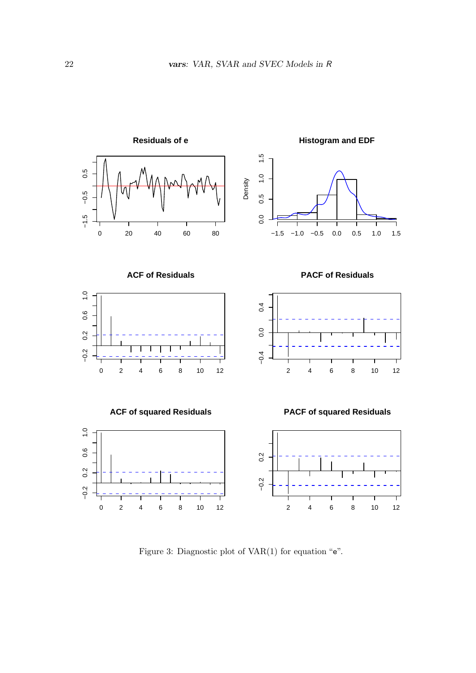

<span id="page-21-0"></span>Figure 3: Diagnostic plot of  $VAR(1)$  for equation " $e$ ".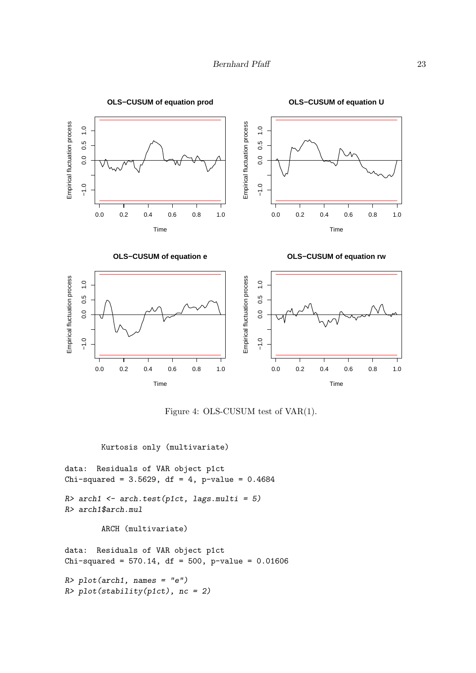

<span id="page-22-0"></span>Figure 4: OLS-CUSUM test of VAR(1).

Kurtosis only (multivariate)

```
data: Residuals of VAR object p1ct
Chi-squared = 3.5629, df = 4, p-value = 0.4684R> arch1 <- arch.test(p1ct, lags.multi = 5)
R> arch1$arch.mul
        ARCH (multivariate)
data: Residuals of VAR object p1ct
Chi-squared = 570.14, df = 500, p-value = 0.01606
```

```
R> plot(arch1, names = "e")
R> plot(stability(p1ct), nc = 2)
```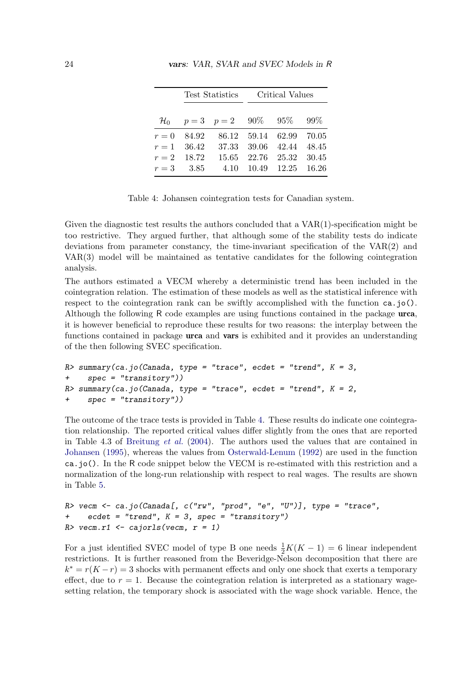|               |                                                  | Test Statistics Critical Values |                         |  |  |
|---------------|--------------------------------------------------|---------------------------------|-------------------------|--|--|
|               | $\mathcal{H}_0$ $p=3$ $p=2$ $90\%$ $95\%$ $99\%$ |                                 |                         |  |  |
| $r = 0$ 84.92 |                                                  |                                 | 86.12 59.14 62.99 70.05 |  |  |
| $r = 1$ 36.42 |                                                  |                                 | 37.33 39.06 42.44 48.45 |  |  |
| $r = 2$ 18.72 |                                                  |                                 | 15.65 22.76 25.32 30.45 |  |  |
| $r = 3$ 3.85  |                                                  |                                 | 4.10 10.49 12.25 16.26  |  |  |

24 vars: VAR, SVAR and SVEC Models in R

<span id="page-23-0"></span>Table 4: Johansen cointegration tests for Canadian system.

Given the diagnostic test results the authors concluded that a  $VAR(1)$ -specification might be too restrictive. They argued further, that although some of the stability tests do indicate deviations from parameter constancy, the time-invariant specification of the VAR(2) and VAR(3) model will be maintained as tentative candidates for the following cointegration analysis.

The authors estimated a VECM whereby a deterministic trend has been included in the cointegration relation. The estimation of these models as well as the statistical inference with respect to the cointegration rank can be swiftly accomplished with the function  $ca.jo()$ . Although the following R code examples are using functions contained in the package urca, it is however beneficial to reproduce these results for two reasons: the interplay between the functions contained in package **urca** and **vars** is exhibited and it provides an understanding of the then following SVEC specification.

```
R> summary(ca.jo(Canada, type = "trace", ecdet = "trend", K = 3,
+ spec = "transitory"))
R> summary(ca.jo(Canada, type = "trace", ecdet = "trend", K = 2,
+ spec = "transitory"))
```
The outcome of the trace tests is provided in Table [4.](#page-23-0) These results do indicate one cointegration relationship. The reported critical values differ slightly from the ones that are reported in Table 4.3 of [Breitung](#page-29-12) *et al.*  $(2004)$ . The authors used the values that are contained in [Johansen](#page-30-4) [\(1995\)](#page-30-4), whereas the values from [Osterwald-Lenum](#page-30-15) [\(1992\)](#page-30-15) are used in the function ca.jo(). In the R code snippet below the VECM is re-estimated with this restriction and a normalization of the long-run relationship with respect to real wages. The results are shown in Table [5.](#page-24-0)

```
R vecm \leq ca.jo(Canada[, c("rw", "prod", "e", "U")], type = "trace",
+ ecdet = "trend", K = 3, spec = "transitory")
R> vecm.r1 <- cajorls(vecm, r = 1)
```
For a just identified SVEC model of type B one needs  $\frac{1}{2}K(K-1) = 6$  linear independent restrictions. It is further reasoned from the Beveridge-Nelson decomposition that there are  $k^* = r(K - r) = 3$  shocks with permanent effects and only one shock that exerts a temporary effect, due to  $r = 1$ . Because the cointegration relation is interpreted as a stationary wagesetting relation, the temporary shock is associated with the wage shock variable. Hence, the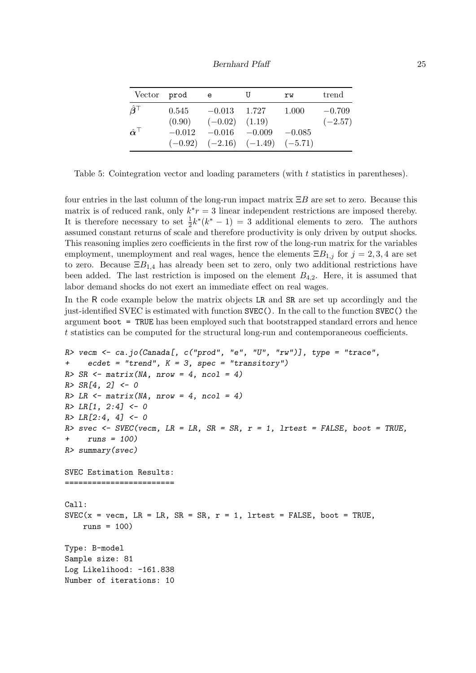Bernhard Pfaff 25

| Vector                             | prod     | e,                 | U                                       | rw       | trend     |
|------------------------------------|----------|--------------------|-----------------------------------------|----------|-----------|
| $\hat{\boldsymbol{\beta}}^{\top}$  | 0.545    | $-0.013$ 1.727     |                                         | 1.000    | $-0.709$  |
|                                    | (0.90)   | $(-0.02)$ $(1.19)$ |                                         |          | $(-2.57)$ |
| $\hat{\boldsymbol{\alpha}}^{\top}$ | $-0.012$ | $-0.016$ $-0.009$  |                                         | $-0.085$ |           |
|                                    |          |                    | $(-0.92)$ $(-2.16)$ $(-1.49)$ $(-5.71)$ |          |           |

<span id="page-24-0"></span>Table 5: Cointegration vector and loading parameters (with t statistics in parentheses).

four entries in the last column of the long-run impact matrix  $\Xi B$  are set to zero. Because this matrix is of reduced rank, only  $k^*r = 3$  linear independent restrictions are imposed thereby. It is therefore necessary to set  $\frac{1}{2}k^*(k^*-1) = 3$  additional elements to zero. The authors assumed constant returns of scale and therefore productivity is only driven by output shocks. This reasoning implies zero coefficients in the first row of the long-run matrix for the variables employment, unemployment and real wages, hence the elements  $\Xi B_{1,j}$  for  $j = 2,3,4$  are set to zero. Because  $\Xi B_{1,4}$  has already been set to zero, only two additional restrictions have been added. The last restriction is imposed on the element  $B_{4,2}$ . Here, it is assumed that labor demand shocks do not exert an immediate effect on real wages.

In the R code example below the matrix objects LR and SR are set up accordingly and the just-identified SVEC is estimated with function SVEC(). In the call to the function SVEC() the argument boot = TRUE has been employed such that bootstrapped standard errors and hence t statistics can be computed for the structural long-run and contemporaneous coefficients.

```
R vecm \leq ca.jo(Canada[, c("prod", "e", "U", "rw")], type = "trace",
+ ecdet = "trend", K = 3, spec = "transitory")
R > SR \leftarrow matrix(MA, nrow = 4, ncol = 4)R > SR[4, 2] <- 0
R > LR \leftarrow matrix(MA, nrow = 4, ncol = 4)R > LR[1, 2:4] < -0R > LR[2:4, 4] < -0R> svec <- SVEC(vecm, LR = LR, SR = SR, r = 1, lrtest = FALSE, boot = TRUE,
     runs = 100)R> summary(svec)
SVEC Estimation Results:
========================
Call:
SVEC(x = vecm, LR = LR, SR = SR, r = 1, Itest = FALSE, boot = TRUE,runs = 100)
Type: B-model
Sample size: 81
Log Likelihood: -161.838
Number of iterations: 10
```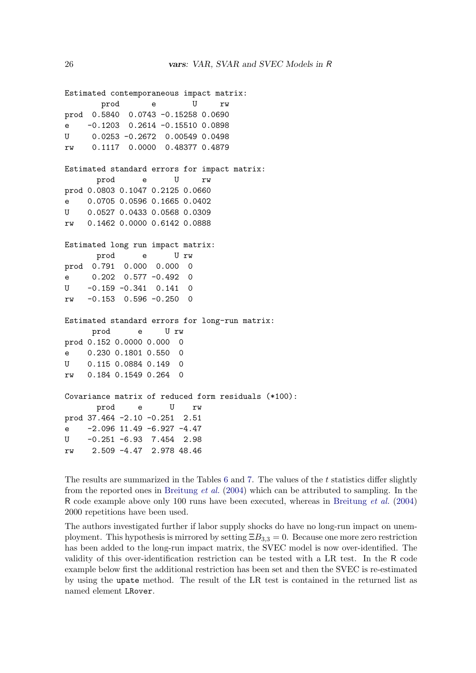```
Estimated contemporaneous impact matrix:
       prod e U rw
prod 0.5840 0.0743 -0.15258 0.0690
e -0.1203 0.2614 -0.15510 0.0898
U 0.0253 -0.2672 0.00549 0.0498
rw 0.1117 0.0000 0.48377 0.4879
Estimated standard errors for impact matrix:
      prod e U rw
prod 0.0803 0.1047 0.2125 0.0660
e 0.0705 0.0596 0.1665 0.0402
U 0.0527 0.0433 0.0568 0.0309
rw 0.1462 0.0000 0.6142 0.0888
Estimated long run impact matrix:
      prod e U rw
prod 0.791 0.000 0.000 0
e 0.202 0.577 -0.492 0
U -0.159 -0.341 0.141 0
rw -0.153 0.596 -0.250 0
Estimated standard errors for long-run matrix:
     prod e U rw
prod 0.152 0.0000 0.000 0
e 0.230 0.1801 0.550 0
U 0.115 0.0884 0.149 0
rw 0.184 0.1549 0.264 0
Covariance matrix of reduced form residuals (*100):
      prod e U rw
prod 37.464 -2.10 -0.251 2.51
e -2.096 11.49 -6.927 -4.47
U -0.251 -6.93 7.454 2.98
rw 2.509 -4.47 2.978 48.46
```
The results are summarized in the Tables [6](#page-26-0) and [7.](#page-26-1) The values of the t statistics differ slightly from the reported ones in [Breitung](#page-29-12) et al. [\(2004\)](#page-29-12) which can be attributed to sampling. In the R code example above only 100 runs have been executed, whereas in [Breitung](#page-29-12) et al. [\(2004\)](#page-29-12) 2000 repetitions have been used.

The authors investigated further if labor supply shocks do have no long-run impact on unemployment. This hypothesis is mirrored by setting  $\Xi B_{3,3} = 0$ . Because one more zero restriction has been added to the long-run impact matrix, the SVEC model is now over-identified. The validity of this over-identification restriction can be tested with a LR test. In the R code example below first the additional restriction has been set and then the SVEC is re-estimated by using the upate method. The result of the LR test is contained in the returned list as named element LRover.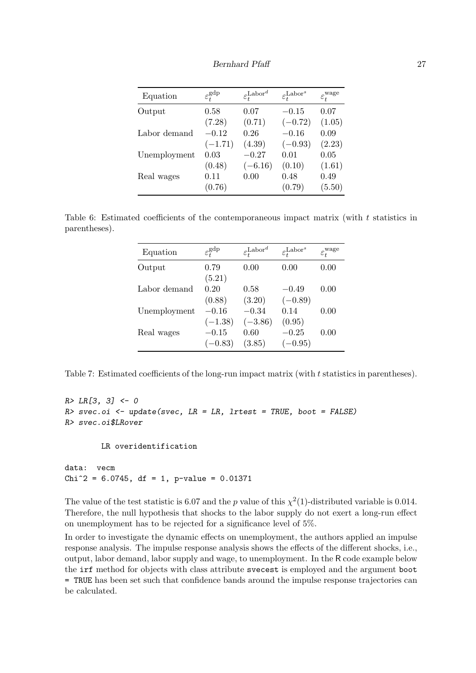Bernhard Pfaff 27

| Equation     | $\varepsilon_t^{\text{gdp}}$ | $\varepsilon_t^{\text{Labor}^d}$ | $\varepsilon_t^{\text{Labor}^s}$ | $\varepsilon_t^{\text{wage}}$ |
|--------------|------------------------------|----------------------------------|----------------------------------|-------------------------------|
| Output       | 0.58                         | 0.07                             | $-0.15$                          | 0.07                          |
|              | (7.28)                       | (0.71)                           | $(-0.72)$                        | (1.05)                        |
| Labor demand | $-0.12$                      | 0.26                             | $-0.16$                          | 0.09                          |
|              | $(-1.71)$                    | (4.39)                           | $(-0.93)$                        | (2.23)                        |
| Unemployment | 0.03                         | $-0.27$                          | 0.01                             | 0.05                          |
|              | (0.48)                       | $(-6.16)$                        | (0.10)                           | (1.61)                        |
| Real wages   | 0.11                         | 0.00                             | 0.48                             | 0.49                          |
|              | (0.76)                       |                                  | (0.79)                           | (5.50)                        |

<span id="page-26-0"></span>Table 6: Estimated coefficients of the contemporaneous impact matrix (with t statistics in parentheses).

| Equation     | $\varepsilon_t^{\text{gdp}}$ | $\varepsilon_t^{\text{Labor}^d}$ | $\varepsilon_t^{\text{Labor}^s}$ | $\varepsilon_t^{\text{wage}}$ |
|--------------|------------------------------|----------------------------------|----------------------------------|-------------------------------|
| Output       | 0.79                         | 0.00                             | 0.00                             | 0.00                          |
|              | (5.21)                       |                                  |                                  |                               |
| Labor demand | 0.20                         | 0.58                             | $-0.49$                          | 0.00                          |
|              | (0.88)                       | (3.20)                           | $(-0.89)$                        |                               |
| Unemployment | $-0.16$                      | $-0.34$                          | 0.14                             | 0.00                          |
|              | $(-1.38)$                    | $(-3.86)$                        | (0.95)                           |                               |
| Real wages   | $-0.15$                      | 0.60                             | $-0.25$                          | 0.00                          |
|              | $(-0.83)$                    | (3.85)                           | $(-0.95)$                        |                               |

<span id="page-26-1"></span>Table 7: Estimated coefficients of the long-run impact matrix (with t statistics in parentheses).

```
R > LR[3, 3] < -0R> svec.oi <- update(svec, LR = LR, lrtest = TRUE, boot = FALSE)
R> svec.oi$LRover
```
LR overidentification

data: vecm  $Chi^2 = 6.0745$ , df = 1, p-value = 0.01371

The value of the test statistic is 6.07 and the p value of this  $\chi^2(1)$ -distributed variable is 0.014. Therefore, the null hypothesis that shocks to the labor supply do not exert a long-run effect on unemployment has to be rejected for a significance level of 5%.

In order to investigate the dynamic effects on unemployment, the authors applied an impulse response analysis. The impulse response analysis shows the effects of the different shocks, i.e., output, labor demand, labor supply and wage, to unemployment. In the R code example below the irf method for objects with class attribute svecest is employed and the argument boot = TRUE has been set such that confidence bands around the impulse response trajectories can be calculated.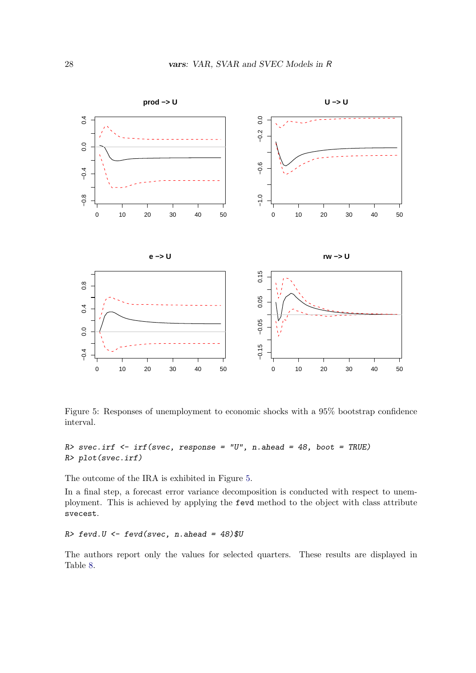

<span id="page-27-0"></span>Figure 5: Responses of unemployment to economic shocks with a 95% bootstrap confidence interval.

```
R> svec.irf <- irf(svec, response = "U", n.ahead = 48, boot = TRUE)
R> plot(svec.irf)
```
The outcome of the IRA is exhibited in Figure [5.](#page-27-0)

In a final step, a forecast error variance decomposition is conducted with respect to unemployment. This is achieved by applying the fevd method to the object with class attribute svecest.

 $R$ > fevd.  $U$  <- fevd(svec, n.ahead = 48)\$U

The authors report only the values for selected quarters. These results are displayed in Table [8.](#page-28-0)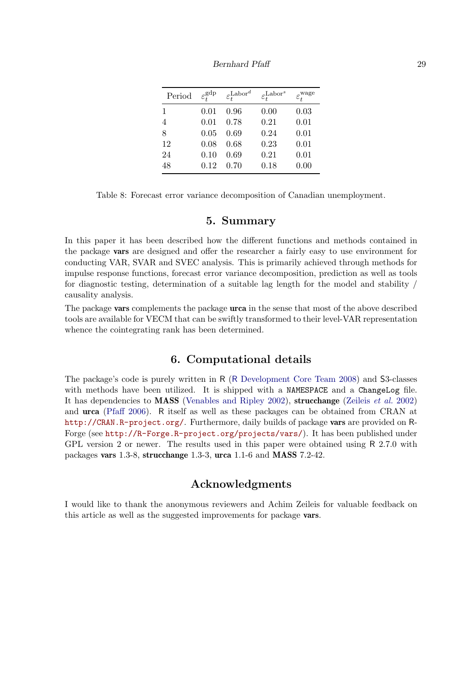| Period | $\varepsilon_t^{\text{gdp}}$ | $\varepsilon_t^{\text{Labor}^d}$ | $\varepsilon_t^{\text{Labor}^s}$ | $\varepsilon_t^{\text{wage}}$ |
|--------|------------------------------|----------------------------------|----------------------------------|-------------------------------|
| 1      | 0.01                         | 0.96                             | 0.00                             | 0.03                          |
| 4      | 0.01                         | 0.78                             | 0.21                             | 0.01                          |
| 8      | 0.05                         | 0.69                             | 0.24                             | 0.01                          |
| 12     | 0.08                         | 0.68                             | 0.23                             | 0.01                          |
| 24     | 0.10                         | 0.69                             | 0.21                             | 0.01                          |
| 48     | 0.12                         | 0.70                             | 0.18                             | 0.00                          |

Bernhard Pfaff 29

<span id="page-28-0"></span>Table 8: Forecast error variance decomposition of Canadian unemployment.

## 5. Summary

In this paper it has been described how the different functions and methods contained in the package vars are designed and offer the researcher a fairly easy to use environment for conducting VAR, SVAR and SVEC analysis. This is primarily achieved through methods for impulse response functions, forecast error variance decomposition, prediction as well as tools for diagnostic testing, determination of a suitable lag length for the model and stability / causality analysis.

The package **vars** complements the package **urca** in the sense that most of the above described tools are available for VECM that can be swiftly transformed to their level-VAR representation whence the cointegrating rank has been determined.

# 6. Computational details

The package's code is purely written in R (R [Development Core Team](#page-30-16) [2008\)](#page-30-16) and S3-classes with methods have been utilized. It is shipped with a NAMESPACE and a ChangeLog file. It has dependencies to **MASS** [\(Venables and Ripley](#page-30-17) [2002\)](#page-31-0), **strucchange** [\(Zeileis](#page-31-0) *et al.* 2002) and urca [\(Pfaff](#page-30-11) [2006\)](#page-30-11). R itself as well as these packages can be obtained from CRAN at <http://CRAN.R-project.org/>. Furthermore, daily builds of package vars are provided on R-Forge (see <http://R-Forge.R-project.org/projects/vars/>). It has been published under GPL version 2 or newer. The results used in this paper were obtained using R 2.7.0 with packages vars 1.3-8, strucchange 1.3-3, urca 1.1-6 and MASS 7.2-42.

# Acknowledgments

I would like to thank the anonymous reviewers and Achim Zeileis for valuable feedback on this article as well as the suggested improvements for package vars.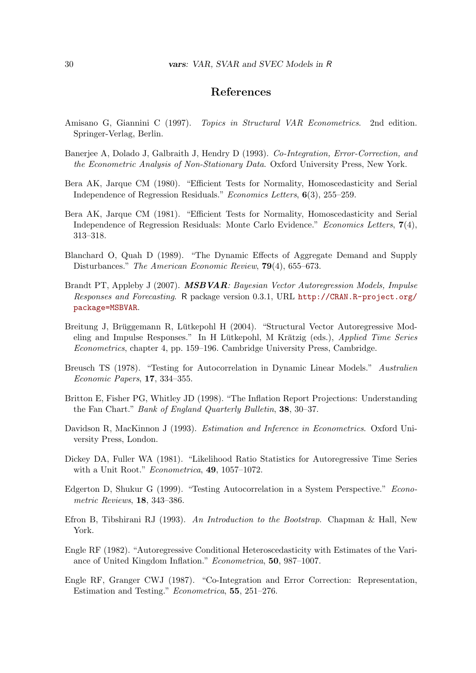# References

- <span id="page-29-3"></span>Amisano G, Giannini C (1997). Topics in Structural VAR Econometrics. 2nd edition. Springer-Verlag, Berlin.
- <span id="page-29-1"></span>Banerjee A, Dolado J, Galbraith J, Hendry D (1993). Co-Integration, Error-Correction, and the Econometric Analysis of Non-Stationary Data. Oxford University Press, New York.
- <span id="page-29-6"></span>Bera AK, Jarque CM (1980). "Efficient Tests for Normality, Homoscedasticity and Serial Independence of Regression Residuals." Economics Letters, 6(3), 255–259.
- <span id="page-29-7"></span>Bera AK, Jarque CM (1981). "Efficient Tests for Normality, Homoscedasticity and Serial Independence of Regression Residuals: Monte Carlo Evidence." Economics Letters, 7(4), 313–318.
- <span id="page-29-4"></span>Blanchard O, Quah D (1989). "The Dynamic Effects of Aggregate Demand and Supply Disturbances." The American Economic Review, 79(4), 655–673.
- <span id="page-29-2"></span>Brandt PT, Appleby J (2007). **MSBVAR**: Bayesian Vector Autoregression Models, Impulse Responses and Forecasting. R package version 0.3.1, URL [http://CRAN.R-project.org/](http://CRAN.R-project.org/package=MSBVAR) [package=MSBVAR](http://CRAN.R-project.org/package=MSBVAR).
- <span id="page-29-12"></span>Breitung J, Brüggemann R, Lütkepohl H (2004). "Structural Vector Autoregressive Modeling and Impulse Responses." In H Lütkepohl, M Krätzig (eds.), Applied Time Series Econometrics, chapter 4, pp. 159–196. Cambridge University Press, Cambridge.
- <span id="page-29-9"></span>Breusch TS (1978). "Testing for Autocorrelation in Dynamic Linear Models." Australien Economic Papers, 17, 334–355.
- <span id="page-29-10"></span>Britton E, Fisher PG, Whitley JD (1998). "The Inflation Report Projections: Understanding the Fan Chart." Bank of England Quarterly Bulletin, 38, 30–37.
- <span id="page-29-13"></span>Davidson R, MacKinnon J (1993). Estimation and Inference in Econometrics. Oxford University Press, London.
- <span id="page-29-14"></span>Dickey DA, Fuller WA (1981). "Likelihood Ratio Statistics for Autoregressive Time Series with a Unit Root." Econometrica, 49, 1057-1072.
- <span id="page-29-8"></span>Edgerton D, Shukur G (1999). "Testing Autocorrelation in a System Perspective." Econometric Reviews, 18, 343–386.
- <span id="page-29-11"></span>Efron B, Tibshirani RJ (1993). An Introduction to the Bootstrap. Chapman & Hall, New York.
- <span id="page-29-5"></span>Engle RF (1982). "Autoregressive Conditional Heteroscedasticity with Estimates of the Variance of United Kingdom Inflation." Econometrica, 50, 987–1007.
- <span id="page-29-0"></span>Engle RF, Granger CWJ (1987). "Co-Integration and Error Correction: Representation, Estimation and Testing." Econometrica, 55, 251–276.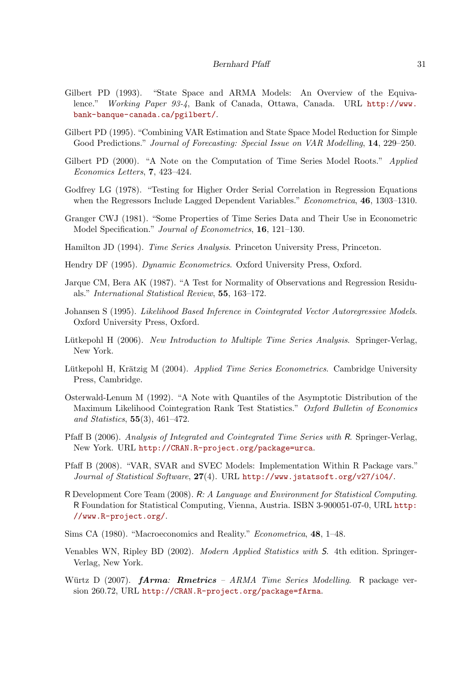- <span id="page-30-9"></span>Gilbert PD (1993). "State Space and ARMA Models: An Overview of the Equivalence." Working Paper 93-4, Bank of Canada, Ottawa, Canada. URL [http://www.](http://www.bank-banque-canada.ca/pgilbert/) [bank-banque-canada.ca/pgilbert/](http://www.bank-banque-canada.ca/pgilbert/).
- <span id="page-30-8"></span>Gilbert PD (1995). "Combining VAR Estimation and State Space Model Reduction for Simple Good Predictions." Journal of Forecasting: Special Issue on VAR Modelling, 14, 229–250.
- <span id="page-30-7"></span>Gilbert PD (2000). "A Note on the Computation of Time Series Model Roots." *Applied* Economics Letters, 7, 423–424.
- <span id="page-30-13"></span>Godfrey LG (1978). "Testing for Higher Order Serial Correlation in Regression Equations when the Regressors Include Lagged Dependent Variables." *Econometrica*, **46**, 1303–1310.
- <span id="page-30-1"></span>Granger CWJ (1981). "Some Properties of Time Series Data and Their Use in Econometric Model Specification." Journal of Econometrics, 16, 121–130.
- <span id="page-30-5"></span>Hamilton JD (1994). Time Series Analysis. Princeton University Press, Princeton.
- <span id="page-30-3"></span>Hendry DF (1995). Dynamic Econometrics. Oxford University Press, Oxford.
- <span id="page-30-12"></span>Jarque CM, Bera AK (1987). "A Test for Normality of Observations and Regression Residuals." International Statistical Review, 55, 163–172.
- <span id="page-30-4"></span>Johansen S (1995). Likelihood Based Inference in Cointegrated Vector Autoregressive Models. Oxford University Press, Oxford.
- <span id="page-30-2"></span>Lütkepohl H (2006). New Introduction to Multiple Time Series Analysis. Springer-Verlag, New York.
- <span id="page-30-14"></span>Lütkepohl H, Krätzig M (2004). Applied Time Series Econometrics. Cambridge University Press, Cambridge.
- <span id="page-30-15"></span>Osterwald-Lenum M (1992). "A Note with Quantiles of the Asymptotic Distribution of the Maximum Likelihood Cointegration Rank Test Statistics." Oxford Bulletin of Economics and Statistics,  $55(3)$ ,  $461-472$ .
- <span id="page-30-11"></span>Pfaff B (2006). Analysis of Integrated and Cointegrated Time Series with R. Springer-Verlag, New York. URL <http://CRAN.R-project.org/package=urca>.
- <span id="page-30-6"></span>Pfaff B (2008). "VAR, SVAR and SVEC Models: Implementation Within R Package vars." Journal of Statistical Software, 27(4). URL <http://www.jstatsoft.org/v27/i04/>.
- <span id="page-30-16"></span>R Development Core Team (2008). R: A Language and Environment for Statistical Computing. R Foundation for Statistical Computing, Vienna, Austria. ISBN 3-900051-07-0, URL [http:](http://www.R-project.org/) [//www.R-project.org/](http://www.R-project.org/).
- <span id="page-30-0"></span>Sims CA (1980). "Macroeconomics and Reality." Econometrica, 48, 1–48.
- <span id="page-30-17"></span>Venables WN, Ripley BD (2002). Modern Applied Statistics with S. 4th edition. Springer-Verlag, New York.
- <span id="page-30-10"></span>Würtz D (2007).  $fArma:$  Rmetrics – ARMA Time Series Modelling. R package version 260.72, URL <http://CRAN.R-project.org/package=fArma>.